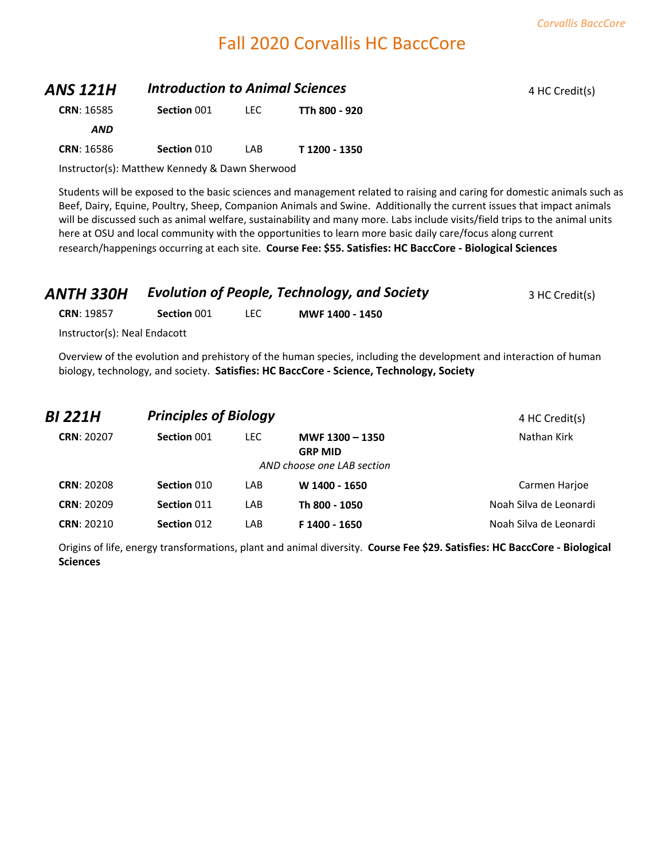# Fall 2020 Corvallis HC BaccCore

| <b>ANS 121H</b>   |             | <b>Introduction to Animal Sciences</b> |               |  |
|-------------------|-------------|----------------------------------------|---------------|--|
| <b>CRN: 16585</b> | Section 001 | LEC.                                   | TTh 800 - 920 |  |
| <b>AND</b>        |             |                                        |               |  |
| <b>CRN: 16586</b> | Section 010 | LAB                                    | T 1200 - 1350 |  |

Instructor(s): Matthew Kennedy & Dawn Sherwood

Students will be exposed to the basic sciences and management related to raising and caring for domestic animals such as Beef, Dairy, Equine, Poultry, Sheep, Companion Animals and Swine. Additionally the current issues that impact animals will be discussed such as animal welfare, sustainability and many more. Labs include visits/field trips to the animal units here at OSU and local community with the opportunities to learn more basic daily care/focus along current research/happenings occurring at each site. **Course Fee: \$55. Satisfies: HC BaccCore - Biological Sciences**

| ANTH 330H                    |             | <b>Evolution of People, Technology, and Society</b> | 3 HC Credit(s)  |  |
|------------------------------|-------------|-----------------------------------------------------|-----------------|--|
| <b>CRN: 19857</b>            | Section 001 | LEC.                                                | MWF 1400 - 1450 |  |
| Instructor(s): Neal Endacott |             |                                                     |                 |  |

Overview of the evolution and prehistory of the human species, including the development and interaction of human biology, technology, and society. **Satisfies: HC BaccCore - Science, Technology, Society**

| BI 221H           | <b>Principles of Biology</b> |      |                                   | 4 HC Credit(s)         |
|-------------------|------------------------------|------|-----------------------------------|------------------------|
| <b>CRN: 20207</b> | Section 001                  | LEC. | MWF 1300 - 1350<br><b>GRP MID</b> | Nathan Kirk            |
|                   |                              |      | AND choose one LAB section        |                        |
| <b>CRN: 20208</b> | Section 010                  | LAB  | W 1400 - 1650                     | Carmen Harjoe          |
| <b>CRN: 20209</b> | Section 011                  | LAB  | Th 800 - 1050                     | Noah Silva de Leonardi |
| <b>CRN: 20210</b> | Section 012                  | LAB  | F 1400 - 1650                     | Noah Silva de Leonardi |

Origins of life, energy transformations, plant and animal diversity. **Course Fee \$29. Satisfies: HC BaccCore - Biological Sciences**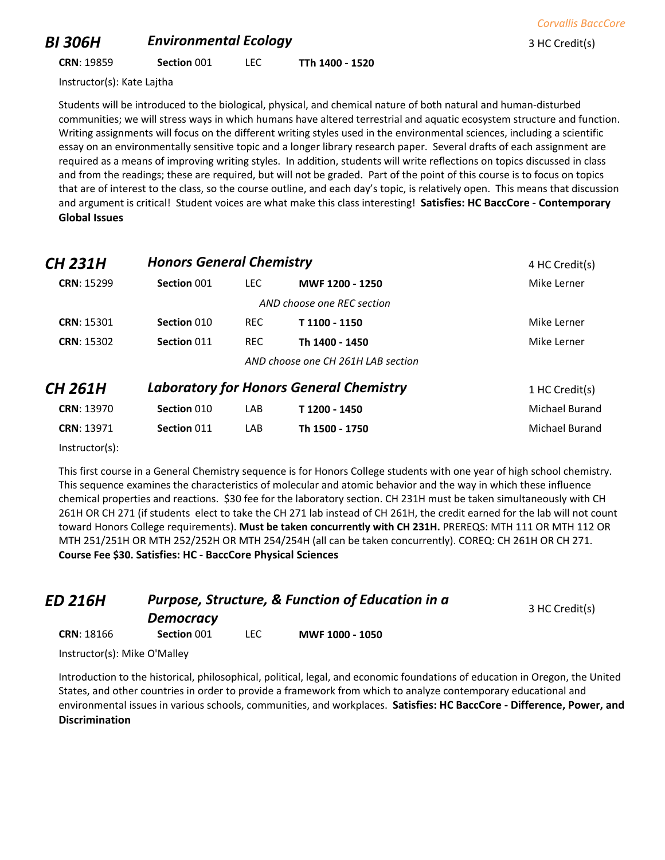## *BI 306H* **Environmental Ecology Example 2 A** *BI* **3 HC Credit(s)**

**CRN**: 19859 **Section** 001 LEC **TTh 1400 - 1520**

Instructor(s): Kate Lajtha

Students will be introduced to the biological, physical, and chemical nature of both natural and human-disturbed communities; we will stress ways in which humans have altered terrestrial and aquatic ecosystem structure and function. Writing assignments will focus on the different writing styles used in the environmental sciences, including a scientific essay on an environmentally sensitive topic and a longer library research paper. Several drafts of each assignment are required as a means of improving writing styles. In addition, students will write reflections on topics discussed in class and from the readings; these are required, but will not be graded. Part of the point of this course is to focus on topics that are of interest to the class, so the course outline, and each day's topic, is relatively open. This means that discussion and argument is critical! Student voices are what make this class interesting! **Satisfies: HC BaccCore - Contemporary Global Issues**

| <b>CH 231H</b>    | <b>Honors General Chemistry</b> |            |                                                | 4 HC Credit(s) |
|-------------------|---------------------------------|------------|------------------------------------------------|----------------|
| <b>CRN: 15299</b> | Section 001                     | LEC.       | MWF 1200 - 1250                                | Mike Lerner    |
|                   |                                 |            | AND choose one REC section                     |                |
| <b>CRN: 15301</b> | Section 010                     | <b>REC</b> | T 1100 - 1150                                  | Mike Lerner    |
| <b>CRN: 15302</b> | Section 011                     | <b>REC</b> | Th 1400 - 1450                                 | Mike Lerner    |
|                   |                                 |            | AND choose one CH 261H LAB section             |                |
| <b>CH 261H</b>    |                                 |            | <b>Laboratory for Honors General Chemistry</b> | 1 HC Credit(s) |
| <b>CRN: 13970</b> | Section 010                     | LAB        | T1200 - 1450                                   | Michael Burand |
| CRN: 13971        | Section 011                     | LAB        | Th 1500 - 1750                                 | Michael Burand |

Instructor(s):

This first course in a General Chemistry sequence is for Honors College students with one year of high school chemistry. This sequence examines the characteristics of molecular and atomic behavior and the way in which these influence chemical properties and reactions. \$30 fee for the laboratory section. CH 231H must be taken simultaneously with CH 261H OR CH 271 (if students elect to take the CH 271 lab instead of CH 261H, the credit earned for the lab will not count toward Honors College requirements). **Must be taken concurrently with CH 231H.** PREREQS: MTH 111 OR MTH 112 OR MTH 251/251H OR MTH 252/252H OR MTH 254/254H (all can be taken concurrently). COREQ: CH 261H OR CH 271. **Course Fee \$30. Satisfies: HC - BaccCore Physical Sciences**

| ED 216H                      | <b>Purpose, Structure, &amp; Function of Education in a</b> | 3 HC Credit(s) |                 |  |
|------------------------------|-------------------------------------------------------------|----------------|-----------------|--|
|                              | <b>Democracy</b>                                            |                |                 |  |
| <b>CRN: 18166</b>            | Section 001                                                 | LEC.           | MWF 1000 - 1050 |  |
| Instructor(s): Mike O'Malley |                                                             |                |                 |  |

Instructor(s): Mike O'Malley

Introduction to the historical, philosophical, political, legal, and economic foundations of education in Oregon, the United States, and other countries in order to provide a framework from which to analyze contemporary educational and environmental issues in various schools, communities, and workplaces. **Satisfies: HC BaccCore - Difference, Power, and Discrimination**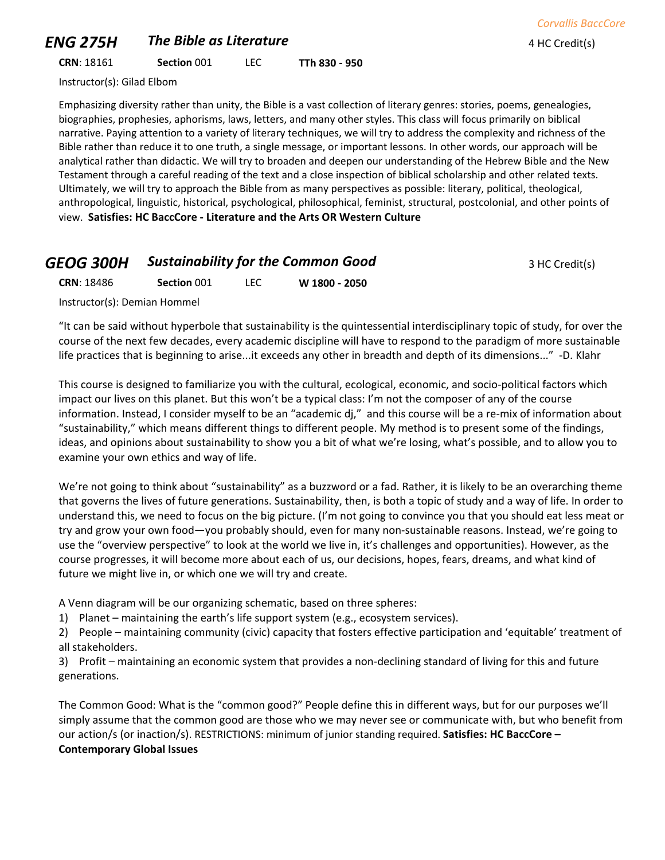## *ENG 275H* The Bible as Literature **All Assembly 275H** *AHC Credit(s)*

**CRN**: 18161 **Section** 001 LEC **TTh 830 - 950**

Instructor(s): Gilad Elbom

Emphasizing diversity rather than unity, the Bible is a vast collection of literary genres: stories, poems, genealogies, biographies, prophesies, aphorisms, laws, letters, and many other styles. This class will focus primarily on biblical narrative. Paying attention to a variety of literary techniques, we will try to address the complexity and richness of the Bible rather than reduce it to one truth, a single message, or important lessons. In other words, our approach will be analytical rather than didactic. We will try to broaden and deepen our understanding of the Hebrew Bible and the New Testament through a careful reading of the text and a close inspection of biblical scholarship and other related texts. Ultimately, we will try to approach the Bible from as many perspectives as possible: literary, political, theological, anthropological, linguistic, historical, psychological, philosophical, feminist, structural, postcolonial, and other points of view. **Satisfies: HC BaccCore - Literature and the Arts OR Western Culture**

## **GEOG 300H Sustainability for the Common Good** 3 HC Credit(s)

**CRN**: 18486 **Section** 001 LEC **W 1800 - 2050**

Instructor(s): Demian Hommel

"It can be said without hyperbole that sustainability is the quintessential interdisciplinary topic of study, for over the course of the next few decades, every academic discipline will have to respond to the paradigm of more sustainable life practices that is beginning to arise...it exceeds any other in breadth and depth of its dimensions..." -D. Klahr

This course is designed to familiarize you with the cultural, ecological, economic, and socio-political factors which impact our lives on this planet. But this won't be a typical class: I'm not the composer of any of the course information. Instead, I consider myself to be an "academic dj," and this course will be a re-mix of information about "sustainability," which means different things to different people. My method is to present some of the findings, ideas, and opinions about sustainability to show you a bit of what we're losing, what's possible, and to allow you to examine your own ethics and way of life.

We're not going to think about "sustainability" as a buzzword or a fad. Rather, it is likely to be an overarching theme that governs the lives of future generations. Sustainability, then, is both a topic of study and a way of life. In order to understand this, we need to focus on the big picture. (I'm not going to convince you that you should eat less meat or try and grow your own food—you probably should, even for many non-sustainable reasons. Instead, we're going to use the "overview perspective" to look at the world we live in, it's challenges and opportunities). However, as the course progresses, it will become more about each of us, our decisions, hopes, fears, dreams, and what kind of future we might live in, or which one we will try and create.

A Venn diagram will be our organizing schematic, based on three spheres:

1) Planet – maintaining the earth's life support system (e.g., ecosystem services).

2) People – maintaining community (civic) capacity that fosters effective participation and 'equitable' treatment of all stakeholders.

3) Profit – maintaining an economic system that provides a non-declining standard of living for this and future generations.

The Common Good: What is the "common good?" People define this in different ways, but for our purposes we'll simply assume that the common good are those who we may never see or communicate with, but who benefit from our action/s (or inaction/s). RESTRICTIONS: minimum of junior standing required. **Satisfies: HC BaccCore – Contemporary Global Issues**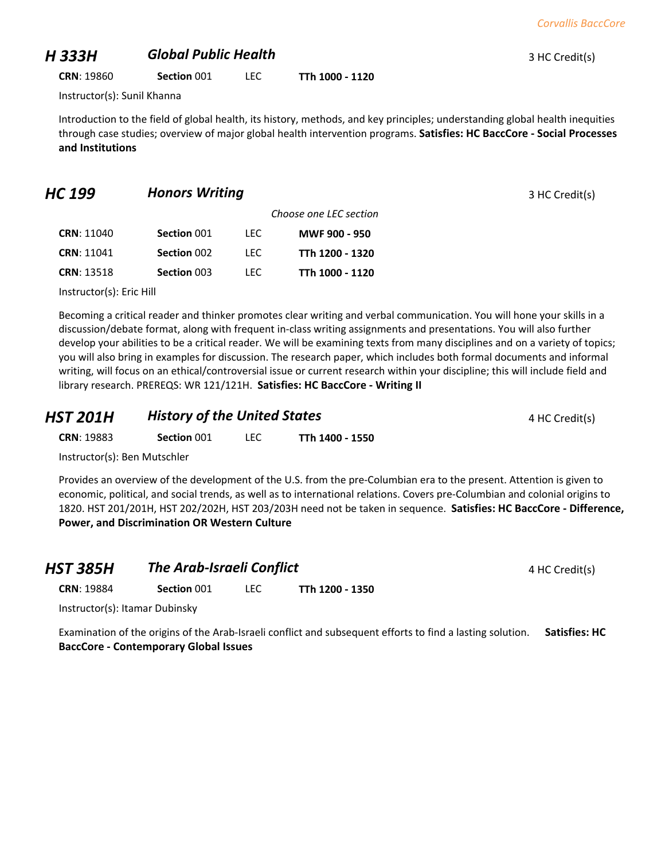#### *H 333H Global Public Health* <sup>3</sup> HC Credit(s)

**CRN**: 19860 **Section** 001 LEC **TTh 1000 - 1120**

Instructor(s): Sunil Khanna

Introduction to the field of global health, its history, methods, and key principles; understanding global health inequities through case studies; overview of major global health intervention programs. **Satisfies: HC BaccCore - Social Processes and Institutions**

#### **HC 199 Honors Writing** *HC* **199 Honors Writing** *BHC* **<b>199 1 HC** Credit(s)

|                   |             |       | Choose one LEC section |
|-------------------|-------------|-------|------------------------|
| <b>CRN: 11040</b> | Section 001 | LEC.  | MWF 900 - 950          |
| <b>CRN: 11041</b> | Section 002 | I FC. | TTh 1200 - 1320        |
| <b>CRN: 13518</b> | Section 003 | I FC. | TTh 1000 - 1120        |
|                   |             |       |                        |

Instructor(s): Eric Hill

Becoming a critical reader and thinker promotes clear writing and verbal communication. You will hone your skills in a discussion/debate format, along with frequent in-class writing assignments and presentations. You will also further develop your abilities to be a critical reader. We will be examining texts from many disciplines and on a variety of topics; you will also bring in examples for discussion. The research paper, which includes both formal documents and informal writing, will focus on an ethical/controversial issue or current research within your discipline; this will include field and library research. PREREQS: WR 121/121H. **Satisfies: HC BaccCore - Writing II**

| <b>HST 201H</b>   | <b>History of the United States</b> |       |                 | 4 HC Credit(s) |
|-------------------|-------------------------------------|-------|-----------------|----------------|
| <b>CRN: 19883</b> | Section 001                         | LEC . | TTh 1400 - 1550 |                |

Instructor(s): Ben Mutschler

Provides an overview of the development of the U.S. from the pre-Columbian era to the present. Attention is given to economic, political, and social trends, as well as to international relations. Covers pre-Columbian and colonial origins to 1820. HST 201/201H, HST 202/202H, HST 203/203H need not be taken in sequence. **Satisfies: HC BaccCore - Difference, Power, and Discrimination OR Western Culture**

| <b>HST 385H</b>   | <b>The Arab-Israeli Conflict</b> |       |                 | 4 HC Credit(s) |
|-------------------|----------------------------------|-------|-----------------|----------------|
| <b>CRN: 19884</b> | Section 001                      | LEC . | TTh 1200 - 1350 |                |
| .                 |                                  |       |                 |                |

Instructor(s): Itamar Dubinsky

Examination of the origins of the Arab-Israeli conflict and subsequent efforts to find a lasting solution. **Satisfies: HC BaccCore - Contemporary Global Issues**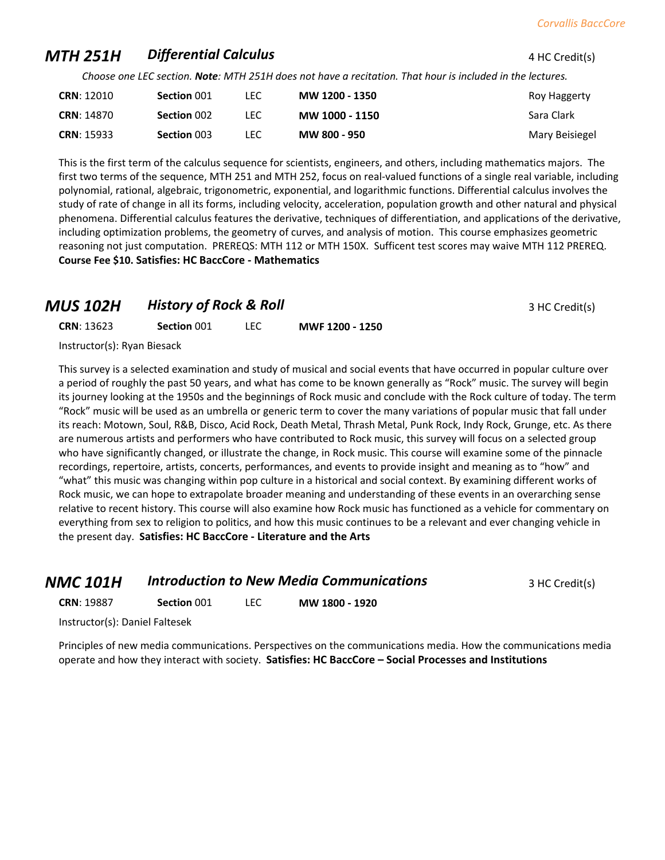## **MTH 251H Differential Calculus 1 AU 251H <b>Differential Calculus 4 HC Credit(s)**

*Choose one LEC section. Note: MTH 251H does not have a recitation. That hour is included in the lectures.*

| <b>CRN: 12010</b> | Section 001 | LEC. | MW 1200 - 1350 | Roy Haggerty   |
|-------------------|-------------|------|----------------|----------------|
| <b>CRN: 14870</b> | Section 002 | LEC. | MW 1000 - 1150 | Sara Clark     |
| <b>CRN: 15933</b> | Section 003 | LEC  | MW 800 - 950   | Mary Beisiegel |

This is the first term of the calculus sequence for scientists, engineers, and others, including mathematics majors. The first two terms of the sequence, MTH 251 and MTH 252, focus on real-valued functions of a single real variable, including polynomial, rational, algebraic, trigonometric, exponential, and logarithmic functions. Differential calculus involves the study of rate of change in all its forms, including velocity, acceleration, population growth and other natural and physical phenomena. Differential calculus features the derivative, techniques of differentiation, and applications of the derivative, including optimization problems, the geometry of curves, and analysis of motion. This course emphasizes geometric reasoning not just computation. PREREQS: MTH 112 or MTH 150X. Sufficent test scores may waive MTH 112 PREREQ. **Course Fee \$10. Satisfies: HC BaccCore - Mathematics**

#### **MUS 102H History of Rock & Roll MUS 102H History of Rock & Roll** 3 HC Credit(s)

**CRN**: 13623 **Section** 001 LEC **MWF 1200 - 1250**

Instructor(s): Ryan Biesack

This survey is a selected examination and study of musical and social events that have occurred in popular culture over a period of roughly the past 50 years, and what has come to be known generally as "Rock" music. The survey will begin its journey looking at the 1950s and the beginnings of Rock music and conclude with the Rock culture of today. The term "Rock" music will be used as an umbrella or generic term to cover the many variations of popular music that fall under its reach: Motown, Soul, R&B, Disco, Acid Rock, Death Metal, Thrash Metal, Punk Rock, Indy Rock, Grunge, etc. As there are numerous artists and performers who have contributed to Rock music, this survey will focus on a selected group who have significantly changed, or illustrate the change, in Rock music. This course will examine some of the pinnacle recordings, repertoire, artists, concerts, performances, and events to provide insight and meaning as to "how" and "what" this music was changing within pop culture in a historical and social context. By examining different works of Rock music, we can hope to extrapolate broader meaning and understanding of these events in an overarching sense relative to recent history. This course will also examine how Rock music has functioned as a vehicle for commentary on everything from sex to religion to politics, and how this music continues to be a relevant and ever changing vehicle in the present day. **Satisfies: HC BaccCore - Literature and the Arts**

| NMC 101H | <b>Introduction to New Media Communications</b> | 3 HC Credit(s) |
|----------|-------------------------------------------------|----------------|
|----------|-------------------------------------------------|----------------|

**CRN**: 19887 **Section** 001 LEC **MW 1800 - 1920**

Instructor(s): Daniel Faltesek

Principles of new media communications. Perspectives on the communications media. How the communications media operate and how they interact with society. **Satisfies: HC BaccCore – Social Processes and Institutions**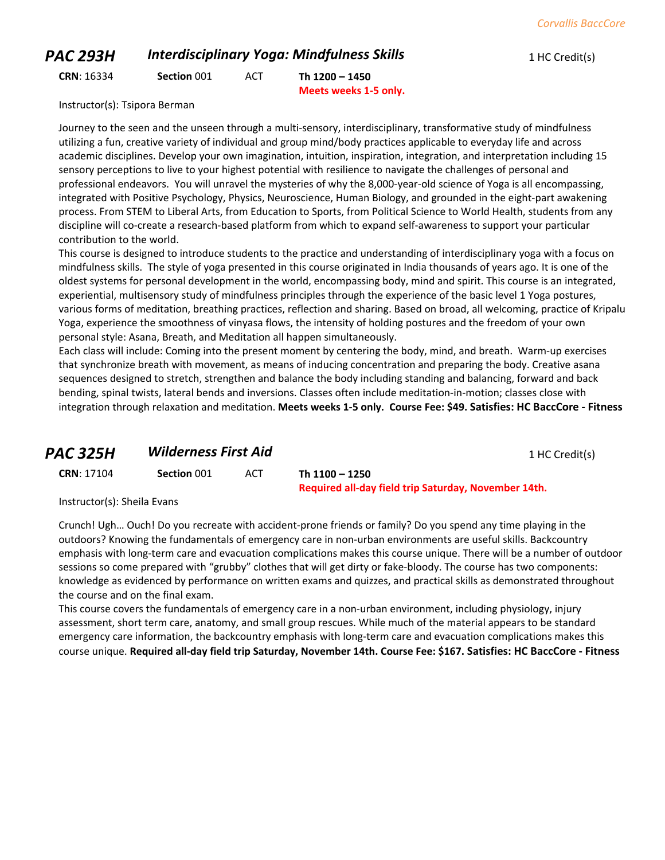#### *PAC 293H Interdisciplinary Yoga: Mindfulness Skills* 1 HC Credit(s)

**CRN**: 16334 **Section** 001 ACT **Th 1200 – 1450**

**Meets weeks 1-5 only.**

Instructor(s): Tsipora Berman

Journey to the seen and the unseen through a multi-sensory, interdisciplinary, transformative study of mindfulness utilizing a fun, creative variety of individual and group mind/body practices applicable to everyday life and across academic disciplines. Develop your own imagination, intuition, inspiration, integration, and interpretation including 15 sensory perceptions to live to your highest potential with resilience to navigate the challenges of personal and professional endeavors. You will unravel the mysteries of why the 8,000-year-old science of Yoga is all encompassing, integrated with Positive Psychology, Physics, Neuroscience, Human Biology, and grounded in the eight-part awakening process. From STEM to Liberal Arts, from Education to Sports, from Political Science to World Health, students from any discipline will co-create a research-based platform from which to expand self-awareness to support your particular contribution to the world.

This course is designed to introduce students to the practice and understanding of interdisciplinary yoga with a focus on mindfulness skills. The style of yoga presented in this course originated in India thousands of years ago. It is one of the oldest systems for personal development in the world, encompassing body, mind and spirit. This course is an integrated, experiential, multisensory study of mindfulness principles through the experience of the basic level 1 Yoga postures, various forms of meditation, breathing practices, reflection and sharing. Based on broad, all welcoming, practice of Kripalu Yoga, experience the smoothness of vinyasa flows, the intensity of holding postures and the freedom of your own personal style: Asana, Breath, and Meditation all happen simultaneously.

Each class will include: Coming into the present moment by centering the body, mind, and breath. Warm-up exercises that synchronize breath with movement, as means of inducing concentration and preparing the body. Creative asana sequences designed to stretch, strengthen and balance the body including standing and balancing, forward and back bending, spinal twists, lateral bends and inversions. Classes often include meditation-in-motion; classes close with integration through relaxation and meditation. **Meets weeks 1-5 only. Course Fee: \$49. Satisfies: HC BaccCore - Fitness**

## **PAC 325H Wilderness First Aid** 1 HC Credit(s)

**CRN**: 17104 **Section** 001 ACT **Th 1100 – 1250 Required all-day field trip Saturday, November 14th.**

Instructor(s): Sheila Evans

Crunch! Ugh… Ouch! Do you recreate with accident-prone friends or family? Do you spend any time playing in the outdoors? Knowing the fundamentals of emergency care in non-urban environments are useful skills. Backcountry emphasis with long-term care and evacuation complications makes this course unique. There will be a number of outdoor sessions so come prepared with "grubby" clothes that will get dirty or fake-bloody. The course has two components: knowledge as evidenced by performance on written exams and quizzes, and practical skills as demonstrated throughout the course and on the final exam.

This course covers the fundamentals of emergency care in a non-urban environment, including physiology, injury assessment, short term care, anatomy, and small group rescues. While much of the material appears to be standard emergency care information, the backcountry emphasis with long-term care and evacuation complications makes this course unique. **Required all-day field trip Saturday, November 14th. Course Fee: \$167. Satisfies: HC BaccCore - Fitness**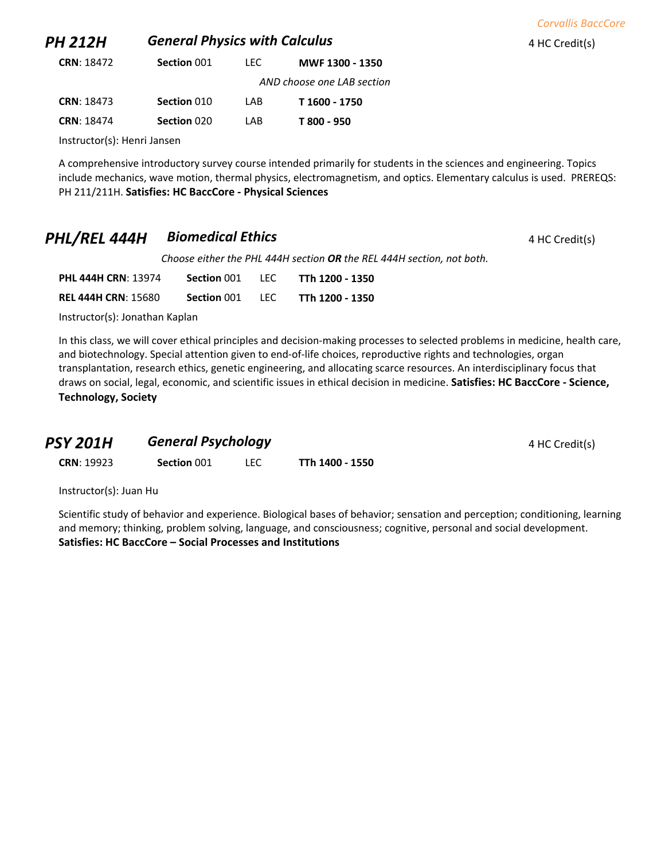| PH 212H                     | <b>General Physics with Calculus</b> |      |                            | 4 HC Credit(s) |
|-----------------------------|--------------------------------------|------|----------------------------|----------------|
| <b>CRN: 18472</b>           | Section 001                          | LEC. | MWF 1300 - 1350            |                |
|                             |                                      |      | AND choose one LAB section |                |
| <b>CRN: 18473</b>           | Section 010                          | LAB  | T 1600 - 1750              |                |
| CRN: 18474                  | Section 020                          | LAB  | T 800 - 950                |                |
| Instructor(s): Henri Jansen |                                      |      |                            |                |

*Corvallis BaccCore*

A comprehensive introductory survey course intended primarily for students in the sciences and engineering. Topics include mechanics, wave motion, thermal physics, electromagnetism, and optics. Elementary calculus is used. PREREQS: PH 211/211H. **Satisfies: HC BaccCore - Physical Sciences**

## **PHL/REL 444H Biomedical Ethics A HC Credit(s) 4 HC Credit(s)**

*Choose either the PHL 444H section OR the REL 444H section, not both.*

| <b>PHL 444H CRN: 13974</b> | Section 001 | TEC.  | TTh 1200 - 1350 |
|----------------------------|-------------|-------|-----------------|
| <b>REL 444H CRN: 15680</b> | Section 001 | -LEC. | TTh 1200 - 1350 |

Instructor(s): Jonathan Kaplan

In this class, we will cover ethical principles and decision-making processes to selected problems in medicine, health care, and biotechnology. Special attention given to end-of-life choices, reproductive rights and technologies, organ transplantation, research ethics, genetic engineering, and allocating scarce resources. An interdisciplinary focus that draws on social, legal, economic, and scientific issues in ethical decision in medicine. **Satisfies: HC BaccCore - Science, Technology, Society**

| <b>PSY 201H</b> | <b>General Psychology</b> | 4 HC Credit(s) |
|-----------------|---------------------------|----------------|
|-----------------|---------------------------|----------------|

**CRN**: 19923 **Section** 001 LEC **TTh 1400 - 1550**

Instructor(s): Juan Hu

Scientific study of behavior and experience. Biological bases of behavior; sensation and perception; conditioning, learning and memory; thinking, problem solving, language, and consciousness; cognitive, personal and social development. **Satisfies: HC BaccCore – Social Processes and Institutions**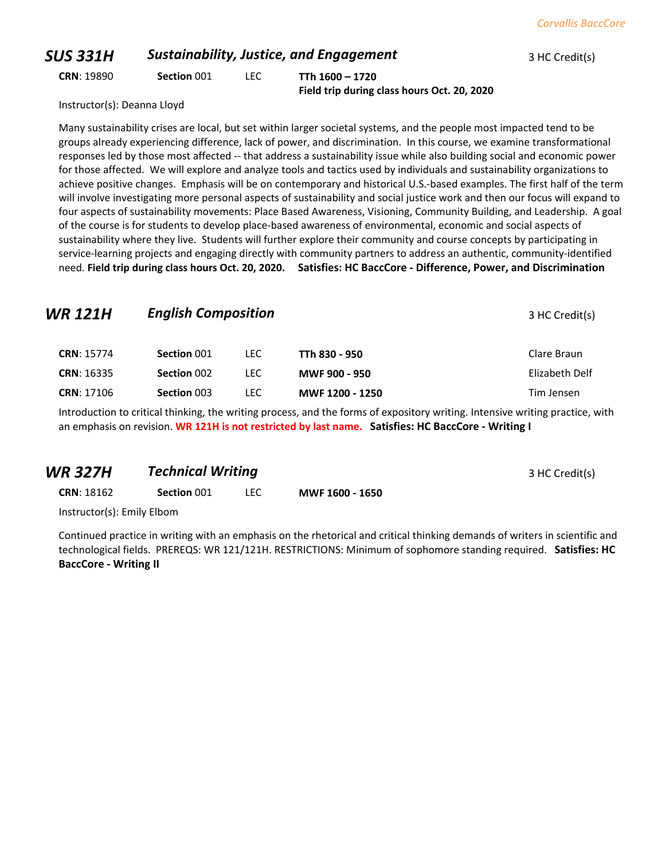## **SUS 331H Sustainability, Justice, and Engagement** 3 HC Credit(s) **CRN**: 19890 **Section** 001 LEC **TTh 1600 – 1720 Field trip during class hours Oct. 20, 2020**

Instructor(s): Deanna Lloyd

Many sustainability crises are local, but set within larger societal systems, and the people most impacted tend to be groups already experiencing difference, lack of power, and discrimination. In this course, we examine transformational responses led by those most affected -- that address a sustainability issue while also building social and economic power for those affected. We will explore and analyze tools and tactics used by individuals and sustainability organizations to achieve positive changes. Emphasis will be on contemporary and historical U.S.-based examples. The first half of the term will involve investigating more personal aspects of sustainability and social justice work and then our focus will expand to four aspects of sustainability movements: Place Based Awareness, Visioning, Community Building, and Leadership. A goal of the course is for students to develop place-based awareness of environmental, economic and social aspects of sustainability where they live. Students will further explore their community and course concepts by participating in service-learning projects and engaging directly with community partners to address an authentic, community-identified need. **Field trip during class hours Oct. 20, 2020. Satisfies: HC BaccCore - Difference, Power, and Discrimination**

# **WR 121H English Composition English Composition 121H English Composition CRN**: 15774 **Section** 001 LEC **TTh 830 - 950** Clare Braun **CRN**: 16335 **Section** 002 LEC **MWF 900 - 950** Elizabeth Delf **CRN**: 17106 **Section** 003 LEC **MWF 1200 - 1250** Tim Jensen

Introduction to critical thinking, the writing process, and the forms of expository writing. Intensive writing practice, with an emphasis on revision. **WR 121H is not restricted by last name. Satisfies: HC BaccCore - Writing I**

## **WR 327H 7echnical Writing 3 HC Credit(s)** 3 HC Credit(s)

**CRN**: 18162 **Section** 001 LEC **MWF 1600 - 1650**

Instructor(s): Emily Elbom

Continued practice in writing with an emphasis on the rhetorical and critical thinking demands of writers in scientific and technological fields. PREREQS: WR 121/121H. RESTRICTIONS: Minimum of sophomore standing required. **Satisfies: HC BaccCore - Writing II**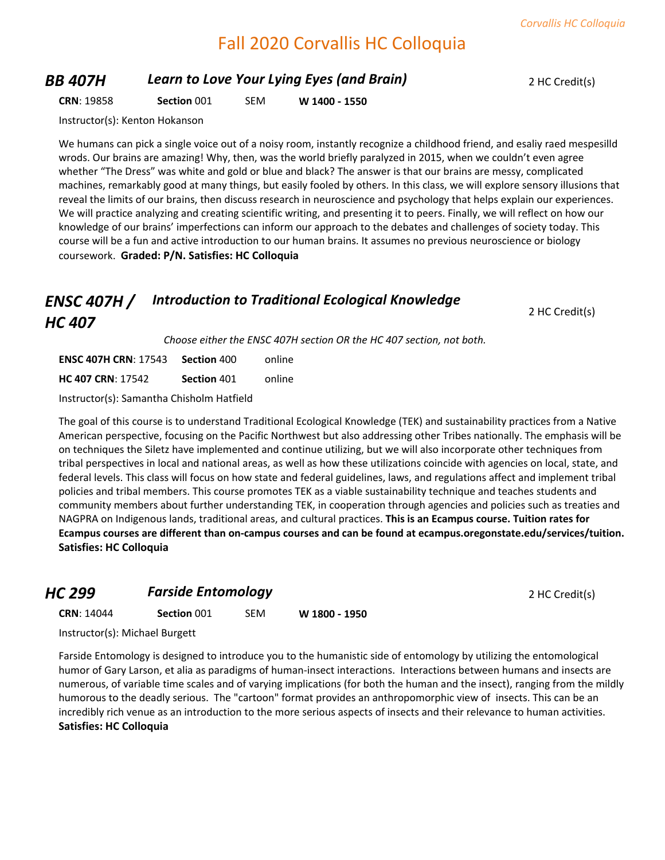## Fall 2020 Corvallis HC Colloquia

## **BB 407H Learn to Love Your Lying Eyes (and Brain)** 2 HC Credit(s)

**CRN**: 19858 **Section** 001 SEM **W 1400 - 1550**

Instructor(s): Kenton Hokanson

We humans can pick a single voice out of a noisy room, instantly recognize a childhood friend, and esaliy raed mespesilld wrods. Our brains are amazing! Why, then, was the world briefly paralyzed in 2015, when we couldn't even agree whether "The Dress" was white and gold or blue and black? The answer is that our brains are messy, complicated machines, remarkably good at many things, but easily fooled by others. In this class, we will explore sensory illusions that reveal the limits of our brains, then discuss research in neuroscience and psychology that helps explain our experiences. We will practice analyzing and creating scientific writing, and presenting it to peers. Finally, we will reflect on how our knowledge of our brains' imperfections can inform our approach to the debates and challenges of society today. This course will be a fun and active introduction to our human brains. It assumes no previous neuroscience or biology coursework. **Graded: P/N. Satisfies: HC Colloquia**

#### *ENSC 407H / HC 407 Introduction to Traditional Ecological Knowledge*

2 HC Credit(s)

*Choose either the ENSC 407H section OR the HC 407 section, not both.*

| <b>ENSC 407H CRN: 17543 Section 400</b> |             | online |
|-----------------------------------------|-------------|--------|
| <b>HC 407 CRN: 17542</b>                | Section 401 | online |

Instructor(s): Samantha Chisholm Hatfield

The goal of this course is to understand Traditional Ecological Knowledge (TEK) and sustainability practices from a Native American perspective, focusing on the Pacific Northwest but also addressing other Tribes nationally. The emphasis will be on techniques the Siletz have implemented and continue utilizing, but we will also incorporate other techniques from tribal perspectives in local and national areas, as well as how these utilizations coincide with agencies on local, state, and federal levels. This class will focus on how state and federal guidelines, laws, and regulations affect and implement tribal policies and tribal members. This course promotes TEK as a viable sustainability technique and teaches students and community members about further understanding TEK, in cooperation through agencies and policies such as treaties and NAGPRA on Indigenous lands, traditional areas, and cultural practices. **This is an Ecampus course. Tuition rates for Ecampus courses are different than on-campus courses and can be found at ecampus.oregonstate.edu/services/tuition. Satisfies: HC Colloquia**

#### **HC 299 Farside Entomology Properties All 2 HC Credit(s) 2 HC Credit(s)**

**CRN**: 14044 **Section** 001 SEM **W 1800 - 1950**

Instructor(s): Michael Burgett

Farside Entomology is designed to introduce you to the humanistic side of entomology by utilizing the entomological humor of Gary Larson, et alia as paradigms of human-insect interactions. Interactions between humans and insects are numerous, of variable time scales and of varying implications (for both the human and the insect), ranging from the mildly humorous to the deadly serious. The "cartoon" format provides an anthropomorphic view of insects. This can be an incredibly rich venue as an introduction to the more serious aspects of insects and their relevance to human activities. **Satisfies: HC Colloquia**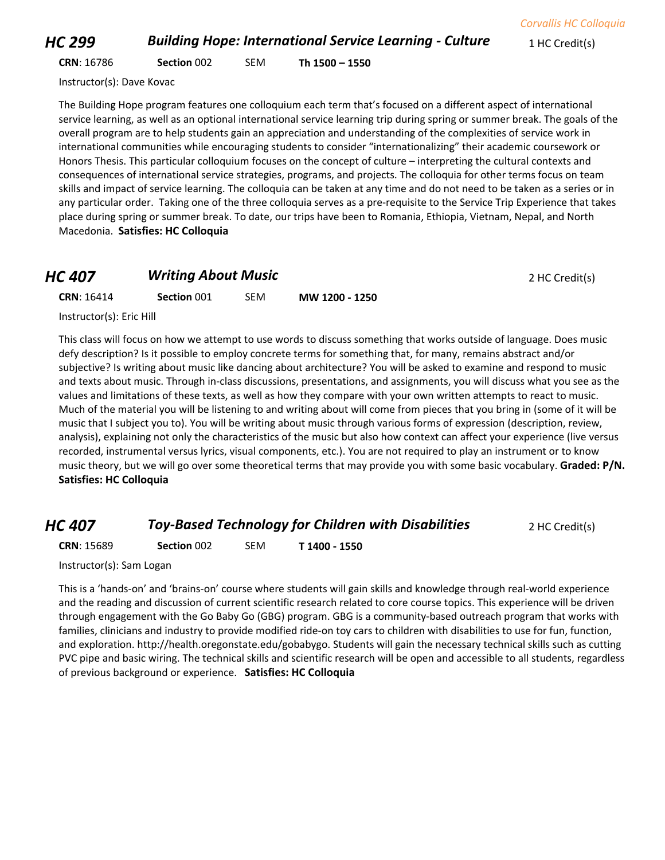*HC 299* **Building Hope: International Service Learning - Culture** 1 HC Credit(s)

**CRN**: 16786 **Section** 002 SEM **Th 1500 – 1550**

Instructor(s): Dave Kovac

The Building Hope program features one colloquium each term that's focused on a different aspect of international service learning, as well as an optional international service learning trip during spring or summer break. The goals of the overall program are to help students gain an appreciation and understanding of the complexities of service work in international communities while encouraging students to consider "internationalizing" their academic coursework or Honors Thesis. This particular colloquium focuses on the concept of culture – interpreting the cultural contexts and consequences of international service strategies, programs, and projects. The colloquia for other terms focus on team skills and impact of service learning. The colloquia can be taken at any time and do not need to be taken as a series or in any particular order. Taking one of the three colloquia serves as a pre-requisite to the Service Trip Experience that takes place during spring or summer break. To date, our trips have been to Romania, Ethiopia, Vietnam, Nepal, and North Macedonia. **Satisfies: HC Colloquia**

## *HC 407* **Writing About Music** *PHC 407* **Writing About Music CRN**: 16414 **Section** 001 SEM **MW 1200 - 1250**

Instructor(s): Eric Hill

This class will focus on how we attempt to use words to discuss something that works outside of language. Does music defy description? Is it possible to employ concrete terms for something that, for many, remains abstract and/or subjective? Is writing about music like dancing about architecture? You will be asked to examine and respond to music and texts about music. Through in-class discussions, presentations, and assignments, you will discuss what you see as the values and limitations of these texts, as well as how they compare with your own written attempts to react to music. Much of the material you will be listening to and writing about will come from pieces that you bring in (some of it will be music that I subject you to). You will be writing about music through various forms of expression (description, review, analysis), explaining not only the characteristics of the music but also how context can affect your experience (live versus recorded, instrumental versus lyrics, visual components, etc.). You are not required to play an instrument or to know music theory, but we will go over some theoretical terms that may provide you with some basic vocabulary. **Graded: P/N. Satisfies: HC Colloquia**

#### *HC 407* **Toy-Based Technology for Children with Disabilities** 2 HC Credit(s)

**CRN**: 15689 **Section** 002 SEM **T 1400 - 1550**

Instructor(s): Sam Logan

This is a 'hands-on' and 'brains-on' course where students will gain skills and knowledge through real-world experience and the reading and discussion of current scientific research related to core course topics. This experience will be driven through engagement with the Go Baby Go (GBG) program. GBG is a community-based outreach program that works with families, clinicians and industry to provide modified ride-on toy cars to children with disabilities to use for fun, function, and exploration. http://health.oregonstate.edu/gobabygo. Students will gain the necessary technical skills such as cutting PVC pipe and basic wiring. The technical skills and scientific research will be open and accessible to all students, regardless of previous background or experience. **Satisfies: HC Colloquia**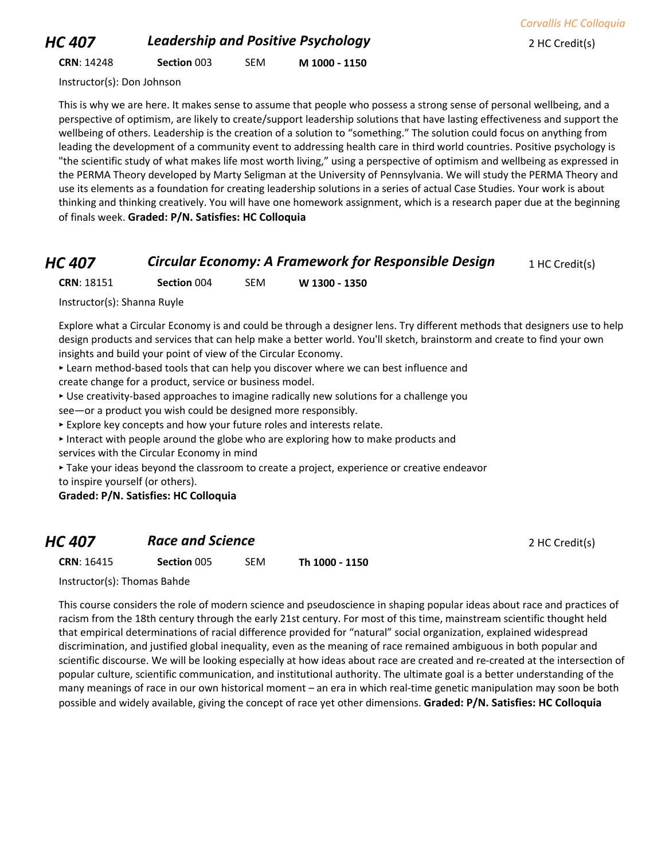## *HC 407* **Leadership and Positive Psychology 2 HC Credit(s)**

**CRN**: 14248 **Section** 003 SEM **M 1000 - 1150**

Instructor(s): Don Johnson

This is why we are here. It makes sense to assume that people who possess a strong sense of personal wellbeing, and a perspective of optimism, are likely to create/support leadership solutions that have lasting effectiveness and support the wellbeing of others. Leadership is the creation of a solution to "something." The solution could focus on anything from leading the development of a community event to addressing health care in third world countries. Positive psychology is "the scientific study of what makes life most worth living," using a perspective of optimism and wellbeing as expressed in the PERMA Theory developed by Marty Seligman at the University of Pennsylvania. We will study the PERMA Theory and use its elements as a foundation for creating leadership solutions in a series of actual Case Studies. Your work is about thinking and thinking creatively. You will have one homework assignment, which is a research paper due at the beginning of finals week. **Graded: P/N. Satisfies: HC Colloquia**

## *HC 407* **Circular Economy: A Framework for Responsible Design** 1 HC Credit(s)

**CRN**: 18151 **Section** 004 SEM **W 1300 - 1350**

Instructor(s): Shanna Ruyle

Explore what a Circular Economy is and could be through a designer lens. Try different methods that designers use to help design products and services that can help make a better world. You'll sketch, brainstorm and create to find your own insights and build your point of view of the Circular Economy.

‣ Learn method-based tools that can help you discover where we can best influence and create change for a product, service or business model.

‣ Use creativity-based approaches to imagine radically new solutions for a challenge you

see—or a product you wish could be designed more responsibly.

‣ Explore key concepts and how your future roles and interests relate.

‣ Interact with people around the globe who are exploring how to make products and services with the Circular Economy in mind

‣ Take your ideas beyond the classroom to create a project, experience or creative endeavor to inspire yourself (or others).

**Graded: P/N. Satisfies: HC Colloquia**

## **HC 407 Race and Science 2 HC Credit(s)**

**CRN**: 16415 **Section** 005 SEM **Th 1000 - 1150**

Instructor(s): Thomas Bahde

This course considers the role of modern science and pseudoscience in shaping popular ideas about race and practices of racism from the 18th century through the early 21st century. For most of this time, mainstream scientific thought held that empirical determinations of racial difference provided for "natural" social organization, explained widespread discrimination, and justified global inequality, even as the meaning of race remained ambiguous in both popular and scientific discourse. We will be looking especially at how ideas about race are created and re-created at the intersection of popular culture, scientific communication, and institutional authority. The ultimate goal is a better understanding of the many meanings of race in our own historical moment – an era in which real-time genetic manipulation may soon be both possible and widely available, giving the concept of race yet other dimensions. **Graded: P/N. Satisfies: HC Colloquia**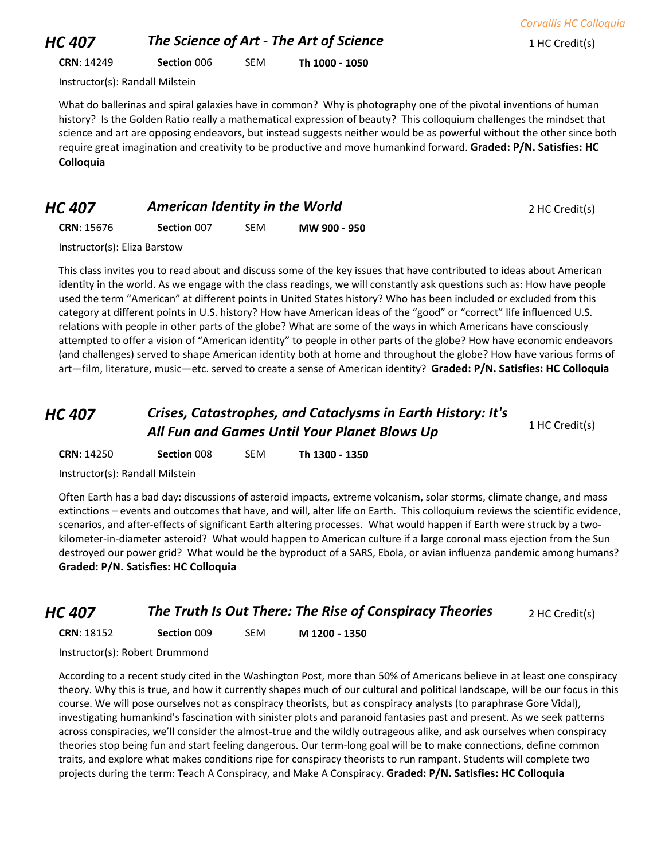**CRN**: 14249 **Section** 006 SEM **Th 1000 - 1050**

Instructor(s): Randall Milstein

What do ballerinas and spiral galaxies have in common? Why is photography one of the pivotal inventions of human history? Is the Golden Ratio really a mathematical expression of beauty? This colloquium challenges the mindset that science and art are opposing endeavors, but instead suggests neither would be as powerful without the other since both require great imagination and creativity to be productive and move humankind forward. **Graded: P/N. Satisfies: HC Colloquia**

#### *HC 407* **American Identity in the World 2 HC Credit(s) 2 HC Credit(s)**

**CRN**: 15676 **Section** 007 SEM **MW 900 - 950**

Instructor(s): Eliza Barstow

This class invites you to read about and discuss some of the key issues that have contributed to ideas about American identity in the world. As we engage with the class readings, we will constantly ask questions such as: How have people used the term "American" at different points in United States history? Who has been included or excluded from this category at different points in U.S. history? How have American ideas of the "good" or "correct" life influenced U.S. relations with people in other parts of the globe? What are some of the ways in which Americans have consciously attempted to offer a vision of "American identity" to people in other parts of the globe? How have economic endeavors (and challenges) served to shape American identity both at home and throughout the globe? How have various forms of art—film, literature, music—etc. served to create a sense of American identity? **Graded: P/N. Satisfies: HC Colloquia**

## *HC 407 Crises, Catastrophes, and Cataclysms in Earth History: It's*  All Fun and Games Until Your Planet Blows Up 1 HC Credit(s)

**CRN**: 14250 **Section** 008 SEM **Th 1300 - 1350**

Instructor(s): Randall Milstein

Often Earth has a bad day: discussions of asteroid impacts, extreme volcanism, solar storms, climate change, and mass extinctions – events and outcomes that have, and will, alter life on Earth. This colloquium reviews the scientific evidence, scenarios, and after-effects of significant Earth altering processes. What would happen if Earth were struck by a twokilometer-in-diameter asteroid? What would happen to American culture if a large coronal mass ejection from the Sun destroyed our power grid? What would be the byproduct of a SARS, Ebola, or avian influenza pandemic among humans? **Graded: P/N. Satisfies: HC Colloquia**

## *HC 407* **The Truth Is Out There: The Rise of Conspiracy Theories** 2 HC Credit(s)

**CRN**: 18152 **Section** 009 SEM **M 1200 - 1350**

Instructor(s): Robert Drummond

According to a recent study cited in the Washington Post, more than 50% of Americans believe in at least one conspiracy theory. Why this is true, and how it currently shapes much of our cultural and political landscape, will be our focus in this course. We will pose ourselves not as conspiracy theorists, but as conspiracy analysts (to paraphrase Gore Vidal), investigating humankind's fascination with sinister plots and paranoid fantasies past and present. As we seek patterns across conspiracies, we'll consider the almost-true and the wildly outrageous alike, and ask ourselves when conspiracy theories stop being fun and start feeling dangerous. Our term-long goal will be to make connections, define common traits, and explore what makes conditions ripe for conspiracy theorists to run rampant. Students will complete two projects during the term: Teach A Conspiracy, and Make A Conspiracy. **Graded: P/N. Satisfies: HC Colloquia**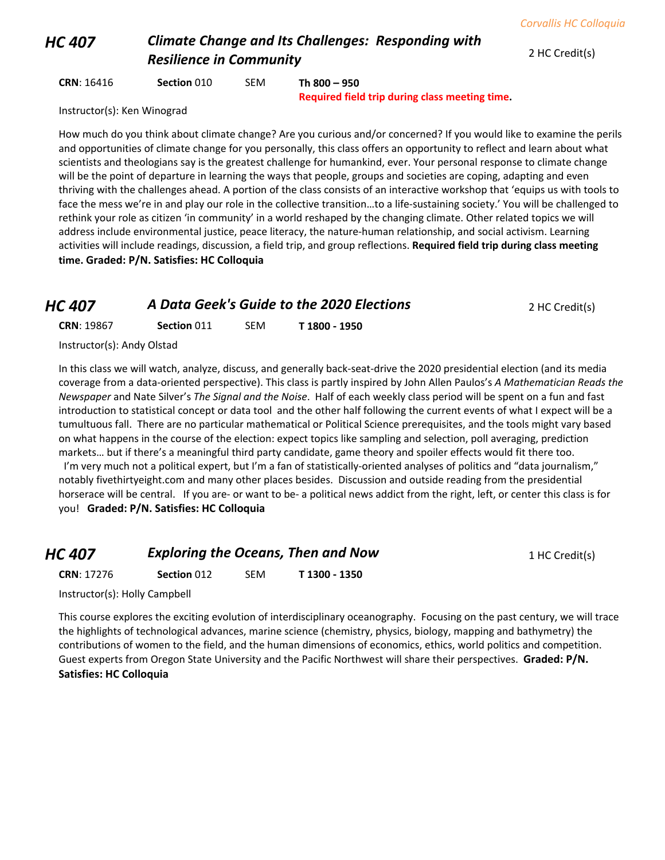## *HC 407 Climate Change and Its Challenges: Responding with*  **Resilience in Community** 2 HC Credit(s)

**CRN**: 16416 **Section** 010 SEM **Th 800 – 950**

**Required field trip during class meeting time.**

Instructor(s): Ken Winograd

How much do you think about climate change? Are you curious and/or concerned? If you would like to examine the perils and opportunities of climate change for you personally, this class offers an opportunity to reflect and learn about what scientists and theologians say is the greatest challenge for humankind, ever. Your personal response to climate change will be the point of departure in learning the ways that people, groups and societies are coping, adapting and even thriving with the challenges ahead. A portion of the class consists of an interactive workshop that 'equips us with tools to face the mess we're in and play our role in the collective transition…to a life-sustaining society.' You will be challenged to rethink your role as citizen 'in community' in a world reshaped by the changing climate. Other related topics we will address include environmental justice, peace literacy, the nature-human relationship, and social activism. Learning activities will include readings, discussion, a field trip, and group reflections. **Required field trip during class meeting time. Graded: P/N. Satisfies: HC Colloquia**

## *HC 407* **A Data Geek's Guide to the 2020 Elections 2 HC Credit(s)**

| <b>CRN: 19867</b> | Section 011 | <b>SEM</b> | T 1800 - 1950 |
|-------------------|-------------|------------|---------------|
|-------------------|-------------|------------|---------------|

Instructor(s): Andy Olstad

In this class we will watch, analyze, discuss, and generally back-seat-drive the 2020 presidential election (and its media coverage from a data-oriented perspective). This class is partly inspired by John Allen Paulos's *A Mathematician Reads the Newspaper* and Nate Silver's *The Signal and the Noise*. Half of each weekly class period will be spent on a fun and fast introduction to statistical concept or data tool and the other half following the current events of what I expect will be a tumultuous fall. There are no particular mathematical or Political Science prerequisites, and the tools might vary based on what happens in the course of the election: expect topics like sampling and selection, poll averaging, prediction markets… but if there's a meaningful third party candidate, game theory and spoiler effects would fit there too. I'm very much not a political expert, but I'm a fan of statistically-oriented analyses of politics and "data journalism," notably fivethirtyeight.com and many other places besides. Discussion and outside reading from the presidential horserace will be central. If you are- or want to be- a political news addict from the right, left, or center this class is for you! **Graded: P/N. Satisfies: HC Colloquia**

| <b>Exploring the Oceans, Then and Now</b><br><b>HC 407</b> |                    |     | 1 HC Credit(s) |  |
|------------------------------------------------------------|--------------------|-----|----------------|--|
| <b>CRN: 17276</b>                                          | <b>Section 012</b> | SEM | T 1300 - 1350  |  |

Instructor(s): Holly Campbell

This course explores the exciting evolution of interdisciplinary oceanography. Focusing on the past century, we will trace the highlights of technological advances, marine science (chemistry, physics, biology, mapping and bathymetry) the contributions of women to the field, and the human dimensions of economics, ethics, world politics and competition. Guest experts from Oregon State University and the Pacific Northwest will share their perspectives. **Graded: P/N. Satisfies: HC Colloquia**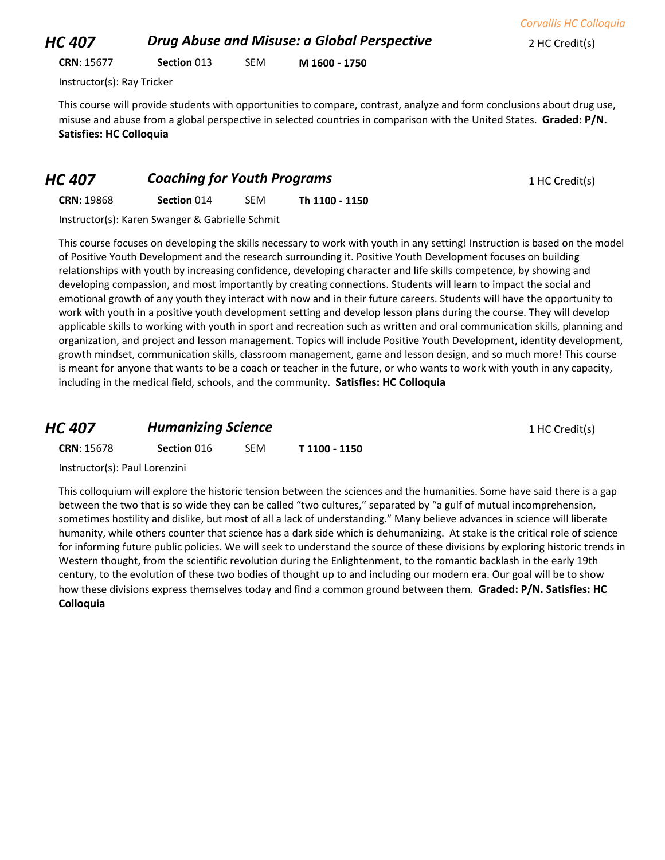**CRN**: 15677 **Section** 013 SEM **M 1600 - 1750**

Instructor(s): Ray Tricker

This course will provide students with opportunities to compare, contrast, analyze and form conclusions about drug use, misuse and abuse from a global perspective in selected countries in comparison with the United States. **Graded: P/N. Satisfies: HC Colloquia**

#### *HC 407* **Coaching for Youth Programs 1 HC Credit(s) 1 HC Credit(s)**

**CRN**: 19868 **Section** 014 SEM **Th 1100 - 1150**

Instructor(s): Karen Swanger & Gabrielle Schmit

This course focuses on developing the skills necessary to work with youth in any setting! Instruction is based on the model of Positive Youth Development and the research surrounding it. Positive Youth Development focuses on building relationships with youth by increasing confidence, developing character and life skills competence, by showing and developing compassion, and most importantly by creating connections. Students will learn to impact the social and emotional growth of any youth they interact with now and in their future careers. Students will have the opportunity to work with youth in a positive youth development setting and develop lesson plans during the course. They will develop applicable skills to working with youth in sport and recreation such as written and oral communication skills, planning and organization, and project and lesson management. Topics will include Positive Youth Development, identity development, growth mindset, communication skills, classroom management, game and lesson design, and so much more! This course is meant for anyone that wants to be a coach or teacher in the future, or who wants to work with youth in any capacity, including in the medical field, schools, and the community. **Satisfies: HC Colloquia**

| HC 407            | <b>Humanizing Science</b> |     |               | 1 HC Credit(s) |
|-------------------|---------------------------|-----|---------------|----------------|
| <b>CRN: 15678</b> | Section 016               | SEM | T 1100 - 1150 |                |

Instructor(s): Paul Lorenzini

This colloquium will explore the historic tension between the sciences and the humanities. Some have said there is a gap between the two that is so wide they can be called "two cultures," separated by "a gulf of mutual incomprehension, sometimes hostility and dislike, but most of all a lack of understanding." Many believe advances in science will liberate humanity, while others counter that science has a dark side which is dehumanizing. At stake is the critical role of science for informing future public policies. We will seek to understand the source of these divisions by exploring historic trends in Western thought, from the scientific revolution during the Enlightenment, to the romantic backlash in the early 19th century, to the evolution of these two bodies of thought up to and including our modern era. Our goal will be to show how these divisions express themselves today and find a common ground between them. **Graded: P/N. Satisfies: HC Colloquia**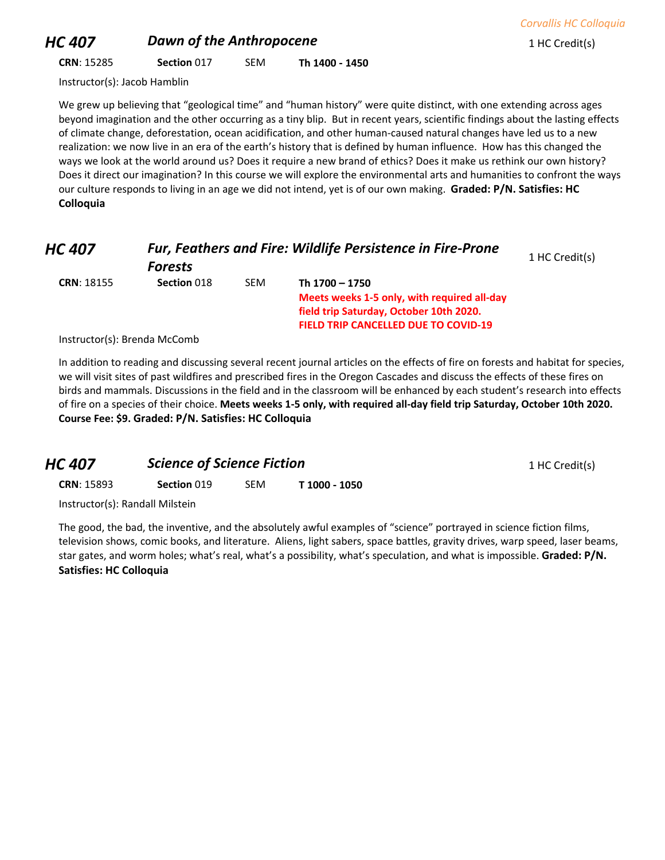## *HC 407* **Dawn of the Anthropocene** 1 HC Credit(s)

**CRN**: 15285 **Section** 017 SEM **Th 1400 - 1450**

Instructor(s): Jacob Hamblin

We grew up believing that "geological time" and "human history" were quite distinct, with one extending across ages beyond imagination and the other occurring as a tiny blip. But in recent years, scientific findings about the lasting effects of climate change, deforestation, ocean acidification, and other human-caused natural changes have led us to a new realization: we now live in an era of the earth's history that is defined by human influence. How has this changed the ways we look at the world around us? Does it require a new brand of ethics? Does it make us rethink our own history? Does it direct our imagination? In this course we will explore the environmental arts and humanities to confront the ways our culture responds to living in an age we did not intend, yet is of our own making. **Graded: P/N. Satisfies: HC Colloquia**

| HC 407            | <b>Fur, Feathers and Fire: Wildlife Persistence in Fire-Prone</b> |            |                                             | 1 HC Credit(s) |
|-------------------|-------------------------------------------------------------------|------------|---------------------------------------------|----------------|
|                   | <b>Forests</b>                                                    |            |                                             |                |
| <b>CRN: 18155</b> | Section 018                                                       | <b>SEM</b> | Th 1700 - 1750                              |                |
|                   |                                                                   |            | Meets weeks 1-5 only, with required all-day |                |
|                   |                                                                   |            | field trip Saturday, October 10th 2020.     |                |
|                   |                                                                   |            | <b>FIELD TRIP CANCELLED DUE TO COVID-19</b> |                |
|                   |                                                                   |            |                                             |                |

Instructor(s): Brenda McComb

In addition to reading and discussing several recent journal articles on the effects of fire on forests and habitat for species, we will visit sites of past wildfires and prescribed fires in the Oregon Cascades and discuss the effects of these fires on birds and mammals. Discussions in the field and in the classroom will be enhanced by each student's research into effects of fire on a species of their choice. **Meets weeks 1-5 only, with required all-day field trip Saturday, October 10th 2020. Course Fee: \$9. Graded: P/N. Satisfies: HC Colloquia**

| HC 407                          | <b>Science of Science Fiction</b> |     |               | 1 HC Credit(s) |
|---------------------------------|-----------------------------------|-----|---------------|----------------|
| <b>CRN: 15893</b>               | Section 019                       | SEM | T 1000 - 1050 |                |
| Instructor(s): Randall Milstein |                                   |     |               |                |

The good, the bad, the inventive, and the absolutely awful examples of "science" portrayed in science fiction films, television shows, comic books, and literature. Aliens, light sabers, space battles, gravity drives, warp speed, laser beams, star gates, and worm holes; what's real, what's a possibility, what's speculation, and what is impossible. **Graded: P/N. Satisfies: HC Colloquia**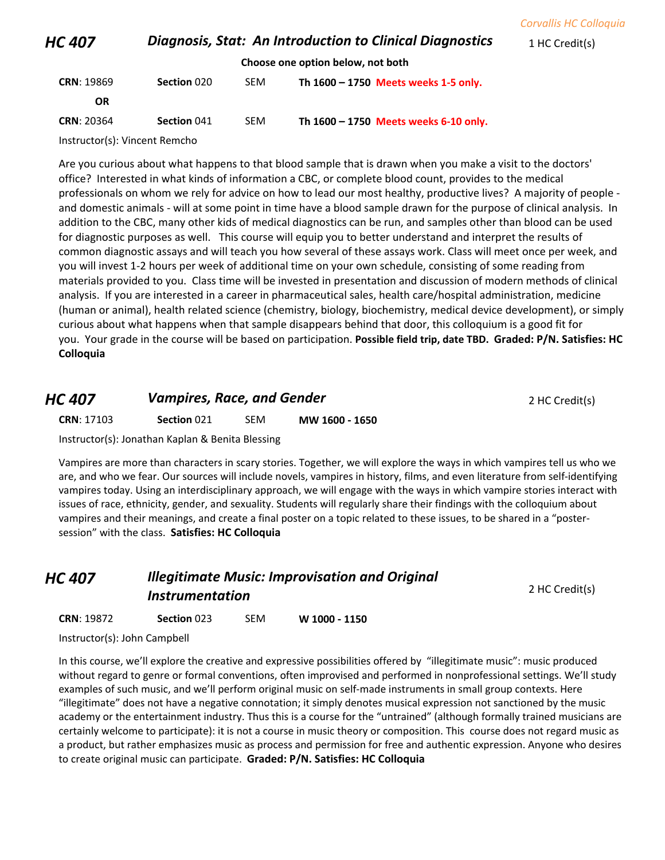| <b>Corvallis HC Colloquia</b> |  |  |
|-------------------------------|--|--|
|                               |  |  |

*HC 407* **Diagnosis, Stat: An Introduction to Clinical Diagnostics** 1 HC Credit(s)

**Choose one option below, not both**

| <b>CRN: 19869</b> | <b>Section 020</b> | <b>SFM</b> | Th 1600 - 1750 Meets weeks 1-5 only.  |
|-------------------|--------------------|------------|---------------------------------------|
| OR                |                    |            |                                       |
| <b>CRN: 20364</b> | Section 041        | <b>SFM</b> | Th 1600 – 1750 Meets weeks 6-10 only. |

Instructor(s): Vincent Remcho

Are you curious about what happens to that blood sample that is drawn when you make a visit to the doctors' office? Interested in what kinds of information a CBC, or complete blood count, provides to the medical professionals on whom we rely for advice on how to lead our most healthy, productive lives? A majority of people and domestic animals - will at some point in time have a blood sample drawn for the purpose of clinical analysis. In addition to the CBC, many other kids of medical diagnostics can be run, and samples other than blood can be used for diagnostic purposes as well. This course will equip you to better understand and interpret the results of common diagnostic assays and will teach you how several of these assays work. Class will meet once per week, and you will invest 1-2 hours per week of additional time on your own schedule, consisting of some reading from materials provided to you. Class time will be invested in presentation and discussion of modern methods of clinical analysis. If you are interested in a career in pharmaceutical sales, health care/hospital administration, medicine (human or animal), health related science (chemistry, biology, biochemistry, medical device development), or simply curious about what happens when that sample disappears behind that door, this colloquium is a good fit for you. Your grade in the course will be based on participation. **Possible field trip, date TBD. Graded: P/N. Satisfies: HC Colloquia**

## *HC 407 Vampires, Race, and Gender* **2 HC Credit(s) 2 HC Credit(s)**

**CRN**: 17103 **Section** 021 SEM **MW 1600 - 1650**

Instructor(s): Jonathan Kaplan & Benita Blessing

Vampires are more than characters in scary stories. Together, we will explore the ways in which vampires tell us who we are, and who we fear. Our sources will include novels, vampires in history, films, and even literature from self-identifying vampires today. Using an interdisciplinary approach, we will engage with the ways in which vampire stories interact with issues of race, ethnicity, gender, and sexuality. Students will regularly share their findings with the colloquium about vampires and their meanings, and create a final poster on a topic related to these issues, to be shared in a "postersession" with the class. **Satisfies: HC Colloquia**

## *HC 407 Illegitimate Music: Improvisation and Original*  **Instrumentation** 2 HC Credit(s)

**CRN**: 19872 **Section** 023 SEM **W 1000 - 1150**

Instructor(s): John Campbell

In this course, we'll explore the creative and expressive possibilities offered by "illegitimate music": music produced without regard to genre or formal conventions, often improvised and performed in nonprofessional settings. We'll study examples of such music, and we'll perform original music on self-made instruments in small group contexts. Here "illegitimate" does not have a negative connotation; it simply denotes musical expression not sanctioned by the music academy or the entertainment industry. Thus this is a course for the "untrained" (although formally trained musicians are certainly welcome to participate): it is not a course in music theory or composition. This course does not regard music as a product, but rather emphasizes music as process and permission for free and authentic expression. Anyone who desires to create original music can participate. **Graded: P/N. Satisfies: HC Colloquia**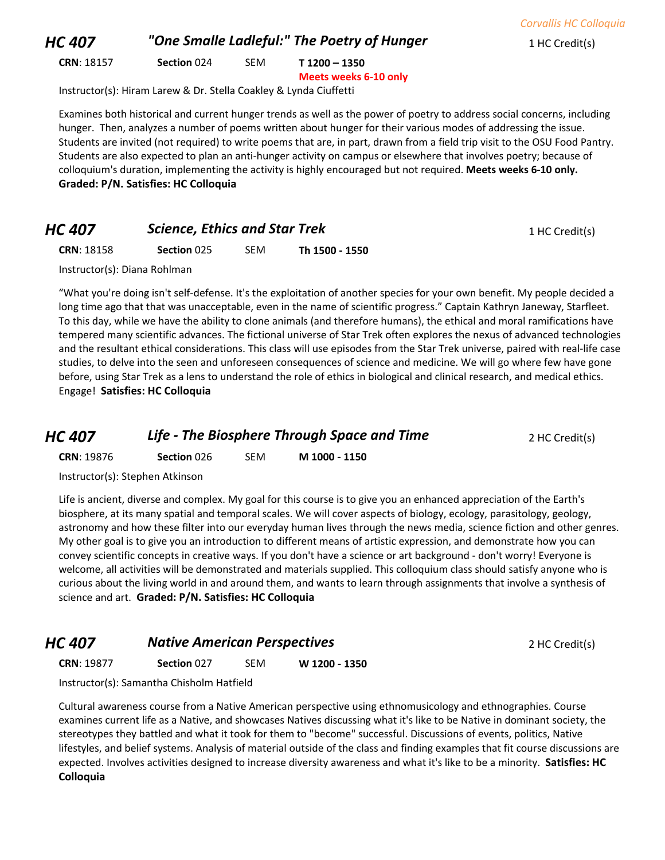*HC 407 "One Smalle Ladleful:" The Poetry of Hunger* 1 HC Credit(s)

**CRN**: 18157 **Section** 024 SEM **T 1200 – 1350**

**Meets weeks 6-10 only**

Instructor(s): Hiram Larew & Dr. Stella Coakley & Lynda Ciuffetti

Examines both historical and current hunger trends as well as the power of poetry to address social concerns, including hunger. Then, analyzes a number of poems written about hunger for their various modes of addressing the issue. Students are invited (not required) to write poems that are, in part, drawn from a field trip visit to the OSU Food Pantry. Students are also expected to plan an anti-hunger activity on campus or elsewhere that involves poetry; because of colloquium's duration, implementing the activity is highly encouraged but not required. **Meets weeks 6-10 only. Graded: P/N. Satisfies: HC Colloquia**

#### *HC 407* **Science, Ethics and Star Trek** 1 HC Credit(s)

**CRN**: 18158 **Section** 025 SEM **Th 1500 - 1550**

Instructor(s): Diana Rohlman

"What you're doing isn't self-defense. It's the exploitation of another species for your own benefit. My people decided a long time ago that that was unacceptable, even in the name of scientific progress." Captain Kathryn Janeway, Starfleet. To this day, while we have the ability to clone animals (and therefore humans), the ethical and moral ramifications have tempered many scientific advances. The fictional universe of Star Trek often explores the nexus of advanced technologies and the resultant ethical considerations. This class will use episodes from the Star Trek universe, paired with real-life case studies, to delve into the seen and unforeseen consequences of science and medicine. We will go where few have gone before, using Star Trek as a lens to understand the role of ethics in biological and clinical research, and medical ethics. Engage! **Satisfies: HC Colloquia**

*HC 407* **Life - The Biosphere Through Space and Time** 2 HC Credit(s)

**CRN**: 19876 **Section** 026 SEM **M 1000 - 1150**

Instructor(s): Stephen Atkinson

Life is ancient, diverse and complex. My goal for this course is to give you an enhanced appreciation of the Earth's biosphere, at its many spatial and temporal scales. We will cover aspects of biology, ecology, parasitology, geology, astronomy and how these filter into our everyday human lives through the news media, science fiction and other genres. My other goal is to give you an introduction to different means of artistic expression, and demonstrate how you can convey scientific concepts in creative ways. If you don't have a science or art background - don't worry! Everyone is welcome, all activities will be demonstrated and materials supplied. This colloquium class should satisfy anyone who is curious about the living world in and around them, and wants to learn through assignments that involve a synthesis of science and art. **Graded: P/N. Satisfies: HC Colloquia**

## *HC 407* **Native American Perspectives 2 HC Credit(s) 2 HC Credit(s)**

**CRN**: 19877 **Section** 027 SEM **W 1200 - 1350**

Instructor(s): Samantha Chisholm Hatfield

Cultural awareness course from a Native American perspective using ethnomusicology and ethnographies. Course examines current life as a Native, and showcases Natives discussing what it's like to be Native in dominant society, the stereotypes they battled and what it took for them to "become" successful. Discussions of events, politics, Native lifestyles, and belief systems. Analysis of material outside of the class and finding examples that fit course discussions are expected. Involves activities designed to increase diversity awareness and what it's like to be a minority. **Satisfies: HC Colloquia**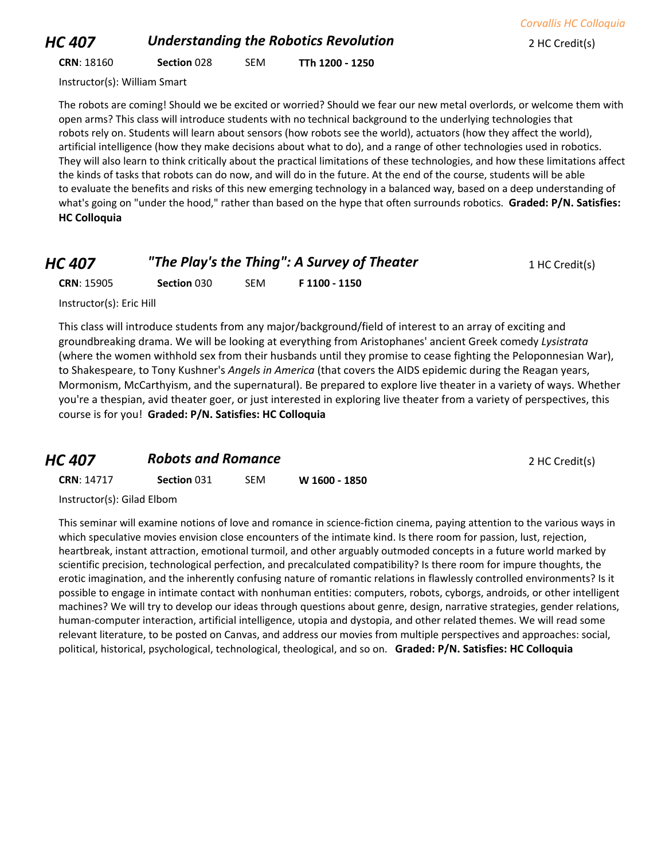## *HC 407* **Understanding the Robotics Revolution 2 HC Credit(s)**

**CRN**: 18160 **Section** 028 SEM **TTh 1200 - 1250**

Instructor(s): William Smart

The robots are coming! Should we be excited or worried? Should we fear our new metal overlords, or welcome them with open arms? This class will introduce students with no technical background to the underlying technologies that robots rely on. Students will learn about sensors (how robots see the world), actuators (how they affect the world), artificial intelligence (how they make decisions about what to do), and a range of other technologies used in robotics. They will also learn to think critically about the practical limitations of these technologies, and how these limitations affect the kinds of tasks that robots can do now, and will do in the future. At the end of the course, students will be able to evaluate the benefits and risks of this new emerging technology in a balanced way, based on a deep understanding of what's going on "under the hood," rather than based on the hype that often surrounds robotics. **Graded: P/N. Satisfies: HC Colloquia**

| HC 407 | "The Play's the Thing": A Survey of Theater | 1 HC Credit(s) |
|--------|---------------------------------------------|----------------|
|--------|---------------------------------------------|----------------|

**CRN**: 15905 **Section** 030 SEM **F 1100 - 1150**

Instructor(s): Eric Hill

This class will introduce students from any major/background/field of interest to an array of exciting and groundbreaking drama. We will be looking at everything from Aristophanes' ancient Greek comedy *Lysistrata* (where the women withhold sex from their husbands until they promise to cease fighting the Peloponnesian War), to Shakespeare, to Tony Kushner's *Angels in America* (that covers the AIDS epidemic during the Reagan years, Mormonism, McCarthyism, and the supernatural). Be prepared to explore live theater in a variety of ways. Whether you're a thespian, avid theater goer, or just interested in exploring live theater from a variety of perspectives, this course is for you! **Graded: P/N. Satisfies: HC Colloquia**

| <b>HC 407</b>     | <b>Robots and Romance</b> |            |               | 2 HC Credit(s) |
|-------------------|---------------------------|------------|---------------|----------------|
| <b>CRN: 14717</b> | <b>Section 031</b>        | <b>SEM</b> | W 1600 - 1850 |                |

Instructor(s): Gilad Elbom

This seminar will examine notions of love and romance in science-fiction cinema, paying attention to the various ways in which speculative movies envision close encounters of the intimate kind. Is there room for passion, lust, rejection, heartbreak, instant attraction, emotional turmoil, and other arguably outmoded concepts in a future world marked by scientific precision, technological perfection, and precalculated compatibility? Is there room for impure thoughts, the erotic imagination, and the inherently confusing nature of romantic relations in flawlessly controlled environments? Is it possible to engage in intimate contact with nonhuman entities: computers, robots, cyborgs, androids, or other intelligent machines? We will try to develop our ideas through questions about genre, design, narrative strategies, gender relations, human-computer interaction, artificial intelligence, utopia and dystopia, and other related themes. We will read some relevant literature, to be posted on Canvas, and address our movies from multiple perspectives and approaches: social, political, historical, psychological, technological, theological, and so on. **Graded: P/N. Satisfies: HC Colloquia**

*Corvallis HC Colloquia*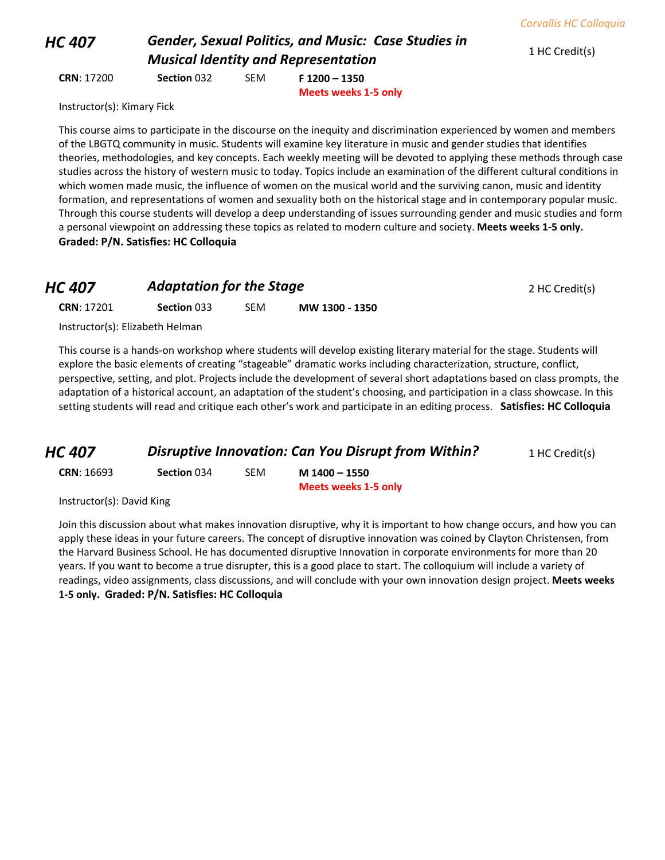## *HC 407 Gender, Sexual Politics, and Music: Case Studies in Musical Identity and Representation* 1 HC Credit(s)

**CRN**: 17200 **Section** 032 SEM **F 1200 – 1350 Meets weeks 1-5 only**

Instructor(s): Kimary Fick

This course aims to participate in the discourse on the inequity and discrimination experienced by women and members of the LBGTQ community in music. Students will examine key literature in music and gender studies that identifies theories, methodologies, and key concepts. Each weekly meeting will be devoted to applying these methods through case studies across the history of western music to today. Topics include an examination of the different cultural conditions in which women made music, the influence of women on the musical world and the surviving canon, music and identity formation, and representations of women and sexuality both on the historical stage and in contemporary popular music. Through this course students will develop a deep understanding of issues surrounding gender and music studies and form a personal viewpoint on addressing these topics as related to modern culture and society. **Meets weeks 1-5 only. Graded: P/N. Satisfies: HC Colloquia**

## **HC 407 Adaptation for the Stage 2 HC Credit(s) 2 HC Credit(s)**

**CRN**: 17201 **Section** 033 SEM **MW 1300 - 1350**

Instructor(s): Elizabeth Helman

This course is a hands-on workshop where students will develop existing literary material for the stage. Students will explore the basic elements of creating "stageable" dramatic works including characterization, structure, conflict, perspective, setting, and plot. Projects include the development of several short adaptations based on class prompts, the adaptation of a historical account, an adaptation of the student's choosing, and participation in a class showcase. In this setting students will read and critique each other's work and participate in an editing process. **Satisfies: HC Colloquia**

| HC 407 | <b>Disruptive Innovation: Can You Disrupt from Within?</b> | 1 HC Credit(s) |
|--------|------------------------------------------------------------|----------------|
|        |                                                            |                |

| <b>CRN</b> : 16693 | Section 034 | SEM | M 1400 - 1550               |
|--------------------|-------------|-----|-----------------------------|
|                    |             |     | <b>Meets weeks 1-5 only</b> |

Instructor(s): David King

Join this discussion about what makes innovation disruptive, why it is important to how change occurs, and how you can apply these ideas in your future careers. The concept of disruptive innovation was coined by Clayton Christensen, from the Harvard Business School. He has documented disruptive Innovation in corporate environments for more than 20 years. If you want to become a true disrupter, this is a good place to start. The colloquium will include a variety of readings, video assignments, class discussions, and will conclude with your own innovation design project. **Meets weeks 1-5 only. Graded: P/N. Satisfies: HC Colloquia**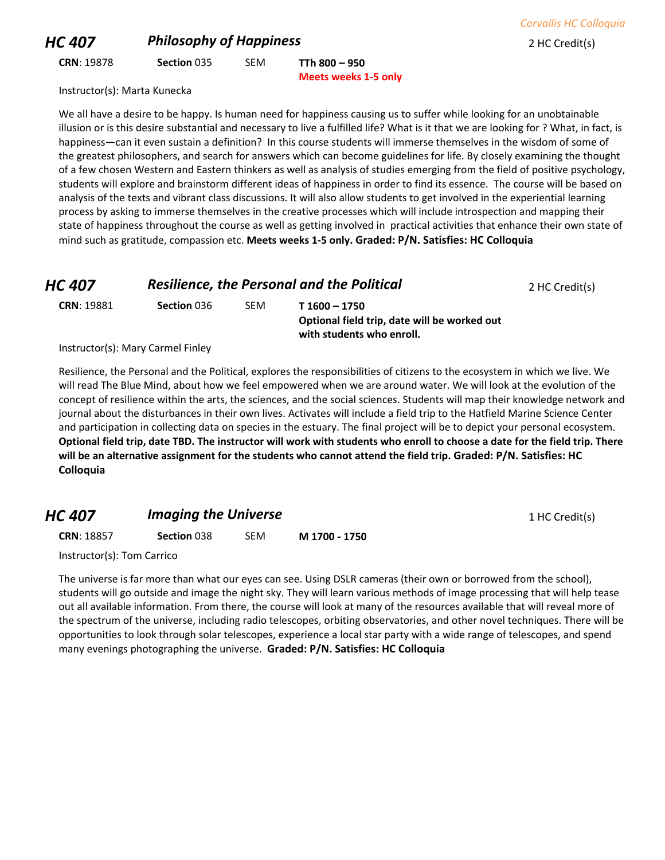**CRN**: 19878 **Section** 035 SEM **TTh 800 – 950 Meets weeks 1-5 only**

Instructor(s): Marta Kunecka

We all have a desire to be happy. Is human need for happiness causing us to suffer while looking for an unobtainable illusion or is this desire substantial and necessary to live a fulfilled life? What is it that we are looking for ? What, in fact, is happiness—can it even sustain a definition? In this course students will immerse themselves in the wisdom of some of the greatest philosophers, and search for answers which can become guidelines for life. By closely examining the thought of a few chosen Western and Eastern thinkers as well as analysis of studies emerging from the field of positive psychology, students will explore and brainstorm different ideas of happiness in order to find its essence. The course will be based on analysis of the texts and vibrant class discussions. It will also allow students to get involved in the experiential learning process by asking to immerse themselves in the creative processes which will include introspection and mapping their state of happiness throughout the course as well as getting involved in practical activities that enhance their own state of mind such as gratitude, compassion etc. **Meets weeks 1-5 only. Graded: P/N. Satisfies: HC Colloquia**

| HC 407            | <b>Resilience, the Personal and the Political</b> | 2 HC Credit(s) |                                              |  |
|-------------------|---------------------------------------------------|----------------|----------------------------------------------|--|
| <b>CRN: 19881</b> | Section 036                                       | <b>SFM</b>     | T 1600 - 1750                                |  |
|                   |                                                   |                | Optional field trip, date will be worked out |  |
|                   |                                                   |                | with students who enroll.                    |  |

Instructor(s): Mary Carmel Finley

Resilience, the Personal and the Political, explores the responsibilities of citizens to the ecosystem in which we live. We will read The Blue Mind, about how we feel empowered when we are around water. We will look at the evolution of the concept of resilience within the arts, the sciences, and the social sciences. Students will map their knowledge network and journal about the disturbances in their own lives. Activates will include a field trip to the Hatfield Marine Science Center and participation in collecting data on species in the estuary. The final project will be to depict your personal ecosystem. **Optional field trip, date TBD. The instructor will work with students who enroll to choose a date for the field trip. There will be an alternative assignment for the students who cannot attend the field trip. Graded: P/N. Satisfies: HC Colloquia**

## *HC 407 Imaging the Universe* **1 HC Credit(s) 1 HC Credit(s)**

**CRN**: 18857 **Section** 038 SEM **M 1700 - 1750**

Instructor(s): Tom Carrico

The universe is far more than what our eyes can see. Using DSLR cameras (their own or borrowed from the school), students will go outside and image the night sky. They will learn various methods of image processing that will help tease out all available information. From there, the course will look at many of the resources available that will reveal more of the spectrum of the universe, including radio telescopes, orbiting observatories, and other novel techniques. There will be opportunities to look through solar telescopes, experience a local star party with a wide range of telescopes, and spend many evenings photographing the universe. **Graded: P/N. Satisfies: HC Colloquia**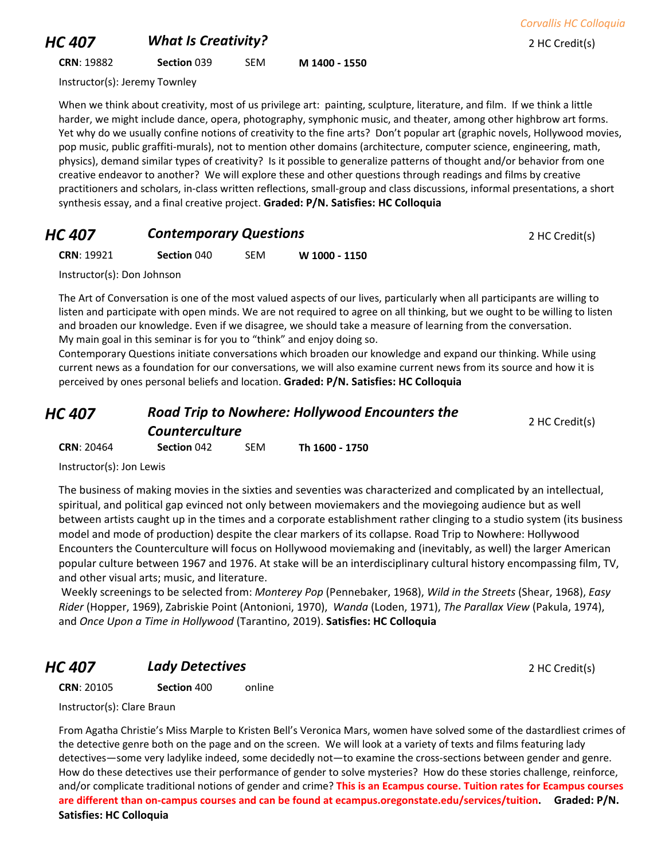## *HC 407 What Is Creativity?* 2 HC Credit(s)

**CRN**: 19882 **Section** 039 SEM **M 1400 - 1550**

Instructor(s): Jeremy Townley

When we think about creativity, most of us privilege art: painting, sculpture, literature, and film. If we think a little harder, we might include dance, opera, photography, symphonic music, and theater, among other highbrow art forms. Yet why do we usually confine notions of creativity to the fine arts? Don't popular art (graphic novels, Hollywood movies, pop music, public graffiti-murals), not to mention other domains (architecture, computer science, engineering, math, physics), demand similar types of creativity? Is it possible to generalize patterns of thought and/or behavior from one creative endeavor to another? We will explore these and other questions through readings and films by creative practitioners and scholars, in-class written reflections, small-group and class discussions, informal presentations, a short synthesis essay, and a final creative project. **Graded: P/N. Satisfies: HC Colloquia**

## **HC 407 Contemporary Questions Proportions** 2 HC Credit(s)

**CRN**: 19921 **Section** 040 SEM **W 1000 - 1150**

Instructor(s): Don Johnson

The Art of Conversation is one of the most valued aspects of our lives, particularly when all participants are willing to listen and participate with open minds. We are not required to agree on all thinking, but we ought to be willing to listen and broaden our knowledge. Even if we disagree, we should take a measure of learning from the conversation. My main goal in this seminar is for you to "think" and enjoy doing so.

Contemporary Questions initiate conversations which broaden our knowledge and expand our thinking. While using current news as a foundation for our conversations, we will also examine current news from its source and how it is perceived by ones personal beliefs and location. **Graded: P/N. Satisfies: HC Colloquia**

| HC 407            | <b>Road Trip to Nowhere: Hollywood Encounters the</b><br><b>Counterculture</b> |            |                | 2 HC Credit(s) |
|-------------------|--------------------------------------------------------------------------------|------------|----------------|----------------|
| <b>CRN: 20464</b> | Section 042                                                                    | <b>SEM</b> | Th 1600 - 1750 |                |

Instructor(s): Jon Lewis

The business of making movies in the sixties and seventies was characterized and complicated by an intellectual, spiritual, and political gap evinced not only between moviemakers and the moviegoing audience but as well between artists caught up in the times and a corporate establishment rather clinging to a studio system (its business model and mode of production) despite the clear markers of its collapse. Road Trip to Nowhere: Hollywood Encounters the Counterculture will focus on Hollywood moviemaking and (inevitably, as well) the larger American popular culture between 1967 and 1976. At stake will be an interdisciplinary cultural history encompassing film, TV, and other visual arts; music, and literature.

Weekly screenings to be selected from: *Monterey Pop* (Pennebaker, 1968), *Wild in the Streets* (Shear, 1968), *Easy Rider* (Hopper, 1969), Zabriskie Point (Antonioni, 1970), *Wanda* (Loden, 1971), *The Parallax View* (Pakula, 1974), and *Once Upon a Time in Hollywood* (Tarantino, 2019). **Satisfies: HC Colloquia**

## *HC 407* **Lady Detectives 2 HC Credit(s)**

**CRN**: 20105 **Section** 400 online

Instructor(s): Clare Braun

From Agatha Christie's Miss Marple to Kristen Bell's Veronica Mars, women have solved some of the dastardliest crimes of the detective genre both on the page and on the screen. We will look at a variety of texts and films featuring lady detectives—some very ladylike indeed, some decidedly not—to examine the cross-sections between gender and genre. How do these detectives use their performance of gender to solve mysteries? How do these stories challenge, reinforce, and/or complicate traditional notions of gender and crime? **This is an Ecampus course. Tuition rates for Ecampus courses are different than on-campus courses and can be found at ecampus.oregonstate.edu/services/tuition. Graded: P/N. Satisfies: HC Colloquia**

*Corvallis HC Colloquia*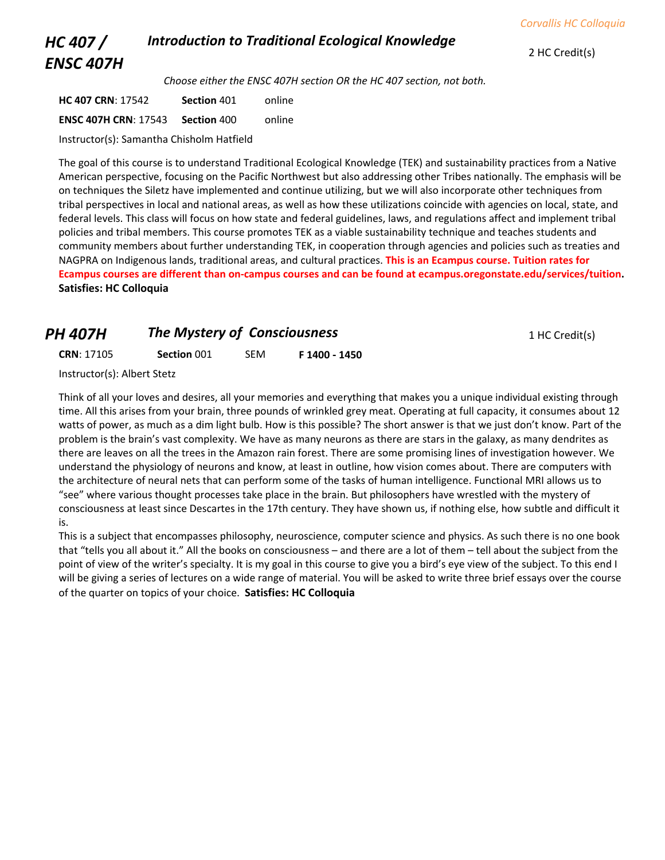#### *HC 407 / ENSC 407H Introduction to Traditional Ecological Knowledge*

*Choose either the ENSC 407H section OR the HC 407 section, not both.*

**HC 407 CRN**: 17542 **Section** 401 online **ENSC 407H CRN**: 17543 **Section** 400 online

Instructor(s): Samantha Chisholm Hatfield

The goal of this course is to understand Traditional Ecological Knowledge (TEK) and sustainability practices from a Native American perspective, focusing on the Pacific Northwest but also addressing other Tribes nationally. The emphasis will be on techniques the Siletz have implemented and continue utilizing, but we will also incorporate other techniques from tribal perspectives in local and national areas, as well as how these utilizations coincide with agencies on local, state, and federal levels. This class will focus on how state and federal guidelines, laws, and regulations affect and implement tribal policies and tribal members. This course promotes TEK as a viable sustainability technique and teaches students and community members about further understanding TEK, in cooperation through agencies and policies such as treaties and NAGPRA on Indigenous lands, traditional areas, and cultural practices. **This is an Ecampus course. Tuition rates for Ecampus courses are different than on-campus courses and can be found at ecampus.oregonstate.edu/services/tuition. Satisfies: HC Colloquia**

# **PH 407H The Mystery of Consciousness** 1 HC Credit(s)

**CRN**: 17105 **Section** 001 SEM **F 1400 - 1450**

Instructor(s): Albert Stetz

Think of all your loves and desires, all your memories and everything that makes you a unique individual existing through time. All this arises from your brain, three pounds of wrinkled grey meat. Operating at full capacity, it consumes about 12 watts of power, as much as a dim light bulb. How is this possible? The short answer is that we just don't know. Part of the problem is the brain's vast complexity. We have as many neurons as there are stars in the galaxy, as many dendrites as there are leaves on all the trees in the Amazon rain forest. There are some promising lines of investigation however. We understand the physiology of neurons and know, at least in outline, how vision comes about. There are computers with the architecture of neural nets that can perform some of the tasks of human intelligence. Functional MRI allows us to "see" where various thought processes take place in the brain. But philosophers have wrestled with the mystery of consciousness at least since Descartes in the 17th century. They have shown us, if nothing else, how subtle and difficult it is.

This is a subject that encompasses philosophy, neuroscience, computer science and physics. As such there is no one book that "tells you all about it." All the books on consciousness – and there are a lot of them – tell about the subject from the point of view of the writer's specialty. It is my goal in this course to give you a bird's eye view of the subject. To this end I will be giving a series of lectures on a wide range of material. You will be asked to write three brief essays over the course of the quarter on topics of your choice. **Satisfies: HC Colloquia**

2 HC Credit(s)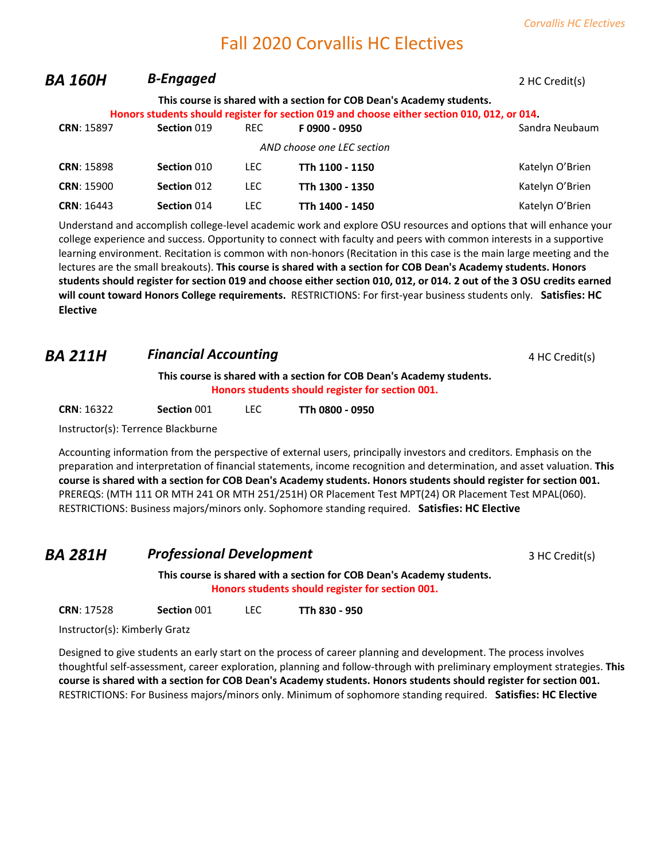# Fall 2020 Corvallis HC Electives

| BA 160H           | <b>B-Engaged</b> |            |                                                                                                                                                                      | 2 HC Credit(s)  |
|-------------------|------------------|------------|----------------------------------------------------------------------------------------------------------------------------------------------------------------------|-----------------|
|                   |                  |            | This course is shared with a section for COB Dean's Academy students.<br>Honors students should register for section 019 and choose either section 010, 012, or 014. |                 |
| <b>CRN: 15897</b> | Section 019      | REC.       | F0900 - 0950                                                                                                                                                         | Sandra Neubaum  |
|                   |                  |            | AND choose one LEC section                                                                                                                                           |                 |
| <b>CRN: 15898</b> | Section 010      | <b>LEC</b> | TTh 1100 - 1150                                                                                                                                                      | Katelyn O'Brien |
| <b>CRN: 15900</b> | Section 012      | <b>LEC</b> | TTh 1300 - 1350                                                                                                                                                      | Katelyn O'Brien |
| <b>CRN: 16443</b> | Section 014      | <b>LEC</b> | TTh 1400 - 1450                                                                                                                                                      | Katelyn O'Brien |
|                   |                  |            |                                                                                                                                                                      |                 |

Understand and accomplish college-level academic work and explore OSU resources and options that will enhance your college experience and success. Opportunity to connect with faculty and peers with common interests in a supportive learning environment. Recitation is common with non-honors (Recitation in this case is the main large meeting and the lectures are the small breakouts). **This course is shared with a section for COB Dean's Academy students. Honors students should register for section 019 and choose either section 010, 012, or 014. 2 out of the 3 OSU credits earned will count toward Honors College requirements.** RESTRICTIONS: For first-year business students only. **Satisfies: HC Elective**

#### **BA 211H Financial Accounting Example 2011** *Financial Accounting* 4 HC Credit(s)

**This course is shared with a section for COB Dean's Academy students. Honors students should register for section 001.**

| <b>CRN: 16322</b><br>Section 001 | <b>LEC</b> | TTh 0800 - 0950 |
|----------------------------------|------------|-----------------|
|----------------------------------|------------|-----------------|

Instructor(s): Terrence Blackburne

Accounting information from the perspective of external users, principally investors and creditors. Emphasis on the preparation and interpretation of financial statements, income recognition and determination, and asset valuation. **This course is shared with a section for COB Dean's Academy students. Honors students should register for section 001.** PREREQS: (MTH 111 OR MTH 241 OR MTH 251/251H) OR Placement Test MPT(24) OR Placement Test MPAL(060). RESTRICTIONS: Business majors/minors only. Sophomore standing required. **Satisfies: HC Elective**

#### **BA 281H Professional Development** 3 HC Credit(s)

**This course is shared with a section for COB Dean's Academy students. Honors students should register for section 001.**

**CRN**: 17528 **Section** 001 LEC **TTh 830 - 950**

Instructor(s): Kimberly Gratz

Designed to give students an early start on the process of career planning and development. The process involves thoughtful self-assessment, career exploration, planning and follow-through with preliminary employment strategies. **This course is shared with a section for COB Dean's Academy students. Honors students should register for section 001.** RESTRICTIONS: For Business majors/minors only. Minimum of sophomore standing required. **Satisfies: HC Elective**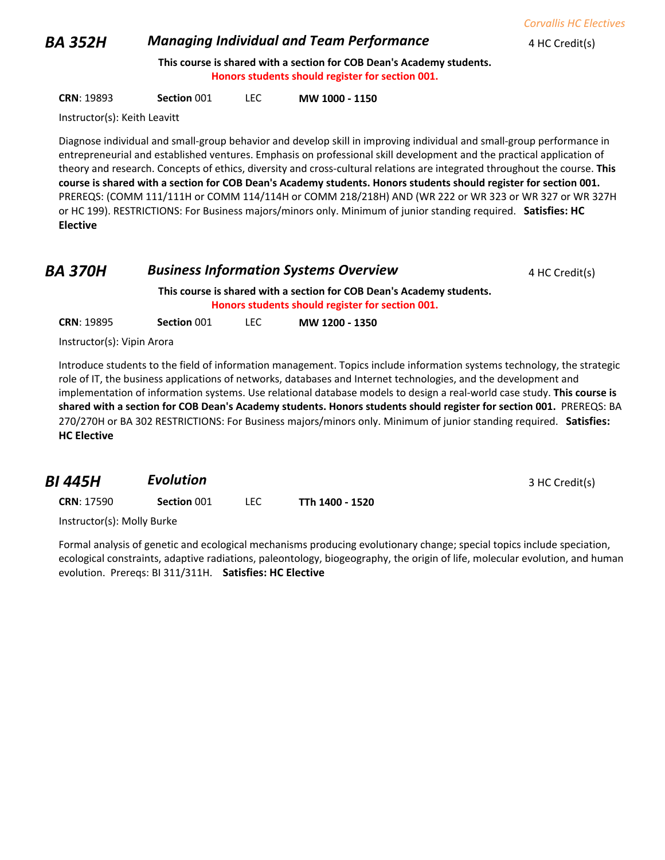*Corvallis HC Electives*

#### **BA 352H** *Managing Individual and Team Performance* 4 HC Credit(s)

**This course is shared with a section for COB Dean's Academy students. Honors students should register for section 001.**

**CRN**: 19893 **Section** 001 LEC **MW 1000 - 1150**

Instructor(s): Keith Leavitt

Diagnose individual and small-group behavior and develop skill in improving individual and small-group performance in entrepreneurial and established ventures. Emphasis on professional skill development and the practical application of theory and research. Concepts of ethics, diversity and cross-cultural relations are integrated throughout the course. **This course is shared with a section for COB Dean's Academy students. Honors students should register for section 001.**  PREREQS: (COMM 111/111H or COMM 114/114H or COMM 218/218H) AND (WR 222 or WR 323 or WR 327 or WR 327H or HC 199). RESTRICTIONS: For Business majors/minors only. Minimum of junior standing required. **Satisfies: HC Elective**

| <b>BA 370H</b> | <b>Business Information Systems Overview</b>                                                                              | 4 HC Credit(s) |
|----------------|---------------------------------------------------------------------------------------------------------------------------|----------------|
|                | This course is shared with a section for COB Dean's Academy students.<br>Honors students should register for section 001. |                |

**CRN**: 19895 **Section** 001 LEC **MW 1200 - 1350**

Instructor(s): Vipin Arora

Introduce students to the field of information management. Topics include information systems technology, the strategic role of IT, the business applications of networks, databases and Internet technologies, and the development and implementation of information systems. Use relational database models to design a real-world case study. **This course is shared with a section for COB Dean's Academy students. Honors students should register for section 001.** PREREQS: BA 270/270H or BA 302 RESTRICTIONS: For Business majors/minors only. Minimum of junior standing required. **Satisfies: HC Elective**

| BI 445H           | <b>Evolution</b> |                 | 3 HC Credit(s) |
|-------------------|------------------|-----------------|----------------|
| <b>CRN: 17590</b> | Section 001      | TTh 1400 - 1520 |                |

Instructor(s): Molly Burke

Formal analysis of genetic and ecological mechanisms producing evolutionary change; special topics include speciation, ecological constraints, adaptive radiations, paleontology, biogeography, the origin of life, molecular evolution, and human evolution. Prereqs: BI 311/311H. **Satisfies: HC Elective**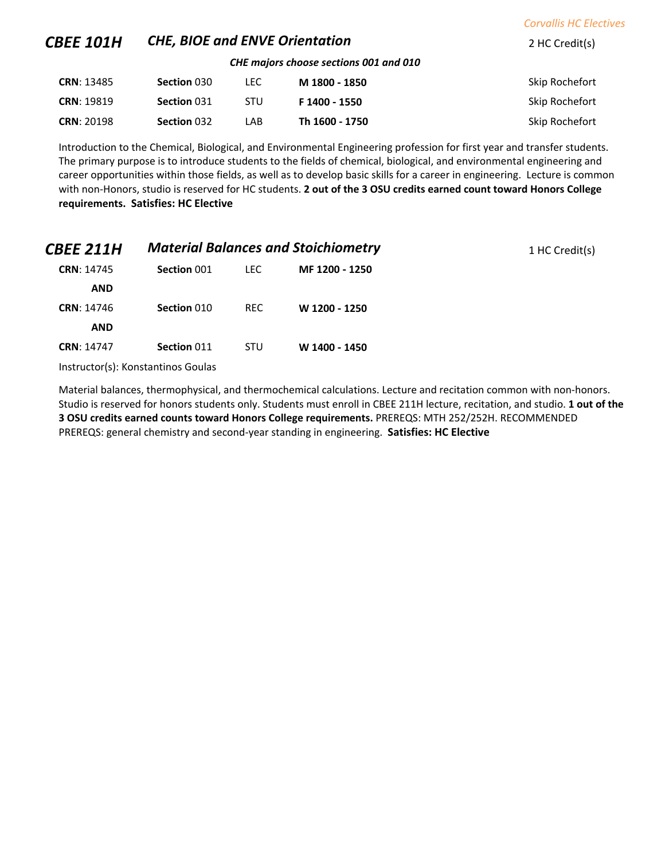| <b>CBEE 101H</b>  | <b>CHE, BIOE and ENVE Orientation</b> |            |                                        | 2 HC Credit(s) |
|-------------------|---------------------------------------|------------|----------------------------------------|----------------|
|                   |                                       |            | CHE majors choose sections 001 and 010 |                |
| <b>CRN: 13485</b> | Section 030                           | LEC.       | M 1800 - 1850                          | Skip Rochefort |
| <b>CRN: 19819</b> | Section 031                           | <b>STU</b> | F 1400 - 1550                          | Skip Rochefort |
| <b>CRN: 20198</b> | Section 032                           | LAB        | Th 1600 - 1750                         | Skip Rochefort |

*Corvallis HC Electives*

Introduction to the Chemical, Biological, and Environmental Engineering profession for first year and transfer students. The primary purpose is to introduce students to the fields of chemical, biological, and environmental engineering and career opportunities within those fields, as well as to develop basic skills for a career in engineering. Lecture is common with non-Honors, studio is reserved for HC students. **2 out of the 3 OSU credits earned count toward Honors College requirements. Satisfies: HC Elective**

| <i><b>CBEE 211H</b></i> | <b>Material Balances and Stoichiometry</b> |            |                | 1 HC Credit(s) |
|-------------------------|--------------------------------------------|------------|----------------|----------------|
| <b>CRN: 14745</b>       | Section 001                                | <b>LEC</b> | MF 1200 - 1250 |                |
| <b>AND</b>              |                                            |            |                |                |
| <b>CRN: 14746</b>       | Section 010                                | <b>REC</b> | W 1200 - 1250  |                |
| <b>AND</b>              |                                            |            |                |                |
| <b>CRN: 14747</b>       | Section 011                                | <b>STU</b> | W 1400 - 1450  |                |
|                         | Instructor(s): Konstantinos Goulas         |            |                |                |

Material balances, thermophysical, and thermochemical calculations. Lecture and recitation common with non-honors. Studio is reserved for honors students only. Students must enroll in CBEE 211H lecture, recitation, and studio. **1 out of the 3 OSU credits earned counts toward Honors College requirements.** PREREQS: MTH 252/252H. RECOMMENDED PREREQS: general chemistry and second-year standing in engineering. **Satisfies: HC Elective**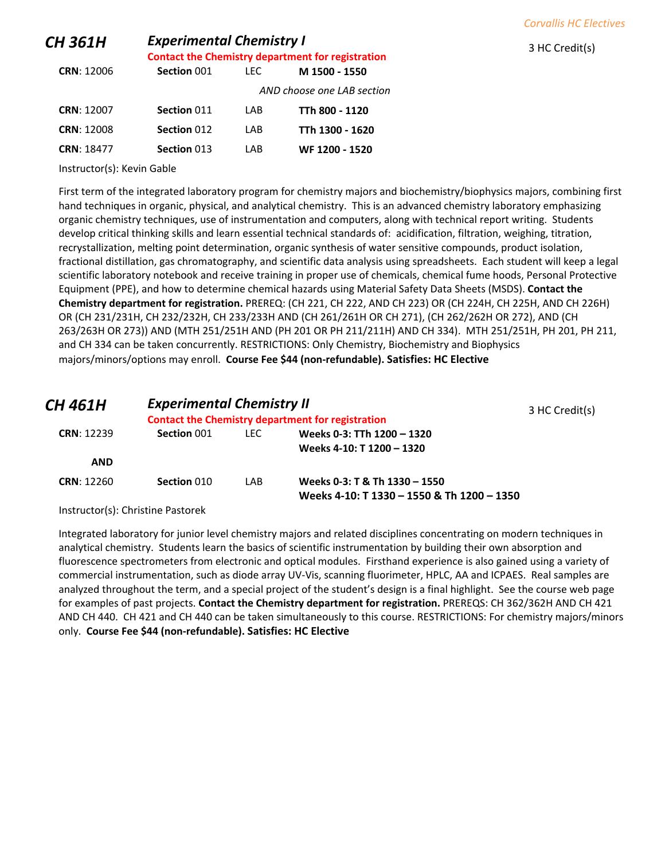| <b>CH 361H</b>             | <b>Experimental Chemistry I</b><br><b>Contact the Chemistry department for registration</b> |      |                            | 3 HC Credit(s) |
|----------------------------|---------------------------------------------------------------------------------------------|------|----------------------------|----------------|
| <b>CRN: 12006</b>          | Section 001                                                                                 | LEC. | M 1500 - 1550              |                |
|                            |                                                                                             |      | AND choose one LAB section |                |
| <b>CRN: 12007</b>          | Section 011                                                                                 | LAB  | TTh 800 - 1120             |                |
| <b>CRN: 12008</b>          | Section 012                                                                                 | LAB  | TTh 1300 - 1620            |                |
| <b>CRN: 18477</b>          | Section 013                                                                                 | LAB  | WF 1200 - 1520             |                |
| Instructor(s): Kevin Gable |                                                                                             |      |                            |                |

*Corvallis HC Electives*

First term of the integrated laboratory program for chemistry majors and biochemistry/biophysics majors, combining first hand techniques in organic, physical, and analytical chemistry. This is an advanced chemistry laboratory emphasizing organic chemistry techniques, use of instrumentation and computers, along with technical report writing. Students develop critical thinking skills and learn essential technical standards of: acidification, filtration, weighing, titration, recrystallization, melting point determination, organic synthesis of water sensitive compounds, product isolation, fractional distillation, gas chromatography, and scientific data analysis using spreadsheets. Each student will keep a legal scientific laboratory notebook and receive training in proper use of chemicals, chemical fume hoods, Personal Protective Equipment (PPE), and how to determine chemical hazards using Material Safety Data Sheets (MSDS). **Contact the Chemistry department for registration.** PREREQ: (CH 221, CH 222, AND CH 223) OR (CH 224H, CH 225H, AND CH 226H) OR (CH 231/231H, CH 232/232H, CH 233/233H AND (CH 261/261H OR CH 271), (CH 262/262H OR 272), AND (CH 263/263H OR 273)) AND (MTH 251/251H AND (PH 201 OR PH 211/211H) AND CH 334). MTH 251/251H, PH 201, PH 211, and CH 334 can be taken concurrently. RESTRICTIONS: Only Chemistry, Biochemistry and Biophysics majors/minors/options may enroll. **Course Fee \$44 (non-refundable). Satisfies: HC Elective**

| CH 461H           | <b>Experimental Chemistry II</b> |       | <b>Contact the Chemistry department for registration</b>                    | 3 HC Credit(s) |
|-------------------|----------------------------------|-------|-----------------------------------------------------------------------------|----------------|
| <b>CRN: 12239</b> | Section 001                      | LEC . | Weeks 0-3: TTh 1200 - 1320<br>Weeks 4-10: T 1200 - 1320                     |                |
| <b>AND</b>        |                                  |       |                                                                             |                |
| <b>CRN: 12260</b> | Section 010                      | I AB  | Weeks 0-3: T & Th 1330 - 1550<br>Weeks 4-10: T 1330 - 1550 & Th 1200 - 1350 |                |

Instructor(s): Christine Pastorek

Integrated laboratory for junior level chemistry majors and related disciplines concentrating on modern techniques in analytical chemistry. Students learn the basics of scientific instrumentation by building their own absorption and fluorescence spectrometers from electronic and optical modules. Firsthand experience is also gained using a variety of commercial instrumentation, such as diode array UV-Vis, scanning fluorimeter, HPLC, AA and ICPAES. Real samples are analyzed throughout the term, and a special project of the student's design is a final highlight. See the course web page for examples of past projects. **Contact the Chemistry department for registration.** PREREQS: CH 362/362H AND CH 421 AND CH 440. CH 421 and CH 440 can be taken simultaneously to this course. RESTRICTIONS: For chemistry majors/minors only. **Course Fee \$44 (non-refundable). Satisfies: HC Elective**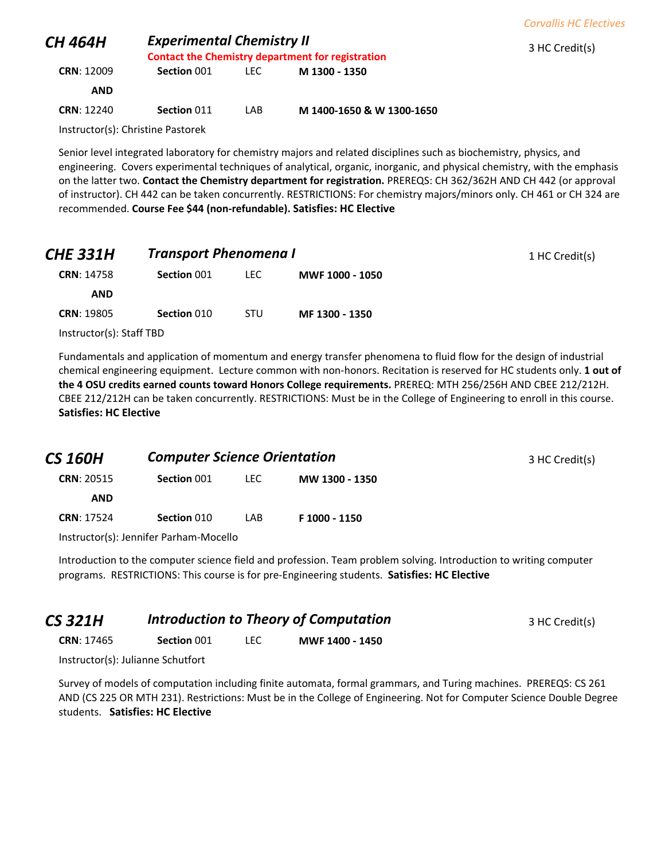|                   |                                                                                              |      |                | <b>Corvallis HC Electives</b> |
|-------------------|----------------------------------------------------------------------------------------------|------|----------------|-------------------------------|
| H 464H            | <b>Experimental Chemistry II</b><br><b>Contact the Chemistry department for registration</b> |      | 3 HC Credit(s) |                               |
| <b>CRN: 12009</b> | Section 001                                                                                  | LEC. | M 1300 - 1350  |                               |
| <b>AND</b>        |                                                                                              |      |                |                               |

Instructor(s): Christine Pastorek

*CH 464H Experimental Chemistry II*

Senior level integrated laboratory for chemistry majors and related disciplines such as biochemistry, physics, and engineering. Covers experimental techniques of analytical, organic, inorganic, and physical chemistry, with the emphasis on the latter two. **Contact the Chemistry department for registration.** PREREQS: CH 362/362H AND CH 442 (or approval of instructor). CH 442 can be taken concurrently. RESTRICTIONS: For chemistry majors/minors only. CH 461 or CH 324 are recommended. **Course Fee \$44 (non-refundable). Satisfies: HC Elective**

**CRN**: 12240 **Section** 011 LAB **M 1400-1650 & W 1300-1650**

| <i><b>CHE 331H</b></i>   | <b>Transport Phenomena I</b> |            |                 |
|--------------------------|------------------------------|------------|-----------------|
| <b>CRN: 14758</b>        | Section 001                  | LEC.       | MWF 1000 - 1050 |
| <b>AND</b>               |                              |            |                 |
| <b>CRN: 19805</b>        | Section 010                  | <b>STU</b> | MF 1300 - 1350  |
| Instructor(s): Staff TBD |                              |            |                 |

Fundamentals and application of momentum and energy transfer phenomena to fluid flow for the design of industrial chemical engineering equipment. Lecture common with non-honors. Recitation is reserved for HC students only. **1 out of the 4 OSU credits earned counts toward Honors College requirements.** PREREQ: MTH 256/256H AND CBEE 212/212H. CBEE 212/212H can be taken concurrently. RESTRICTIONS: Must be in the College of Engineering to enroll in this course. **Satisfies: HC Elective**

| CS 160H           | <b>Computer Science Orientation</b> |      |                | 3 HC Credit(s) |
|-------------------|-------------------------------------|------|----------------|----------------|
| <b>CRN: 20515</b> | Section 001                         | LEC. | MW 1300 - 1350 |                |
| <b>AND</b>        |                                     |      |                |                |
| <b>CRN: 17524</b> | Section 010                         | LAB. | F 1000 - 1150  |                |

Instructor(s): Jennifer Parham-Mocello

Introduction to the computer science field and profession. Team problem solving. Introduction to writing computer programs. RESTRICTIONS: This course is for pre-Engineering students. **Satisfies: HC Elective**

| <b>CS 321H</b>    | <b>Introduction to Theory of Computation</b> |  |                 | 3 HC Credit(s) |
|-------------------|----------------------------------------------|--|-----------------|----------------|
| <b>CRN: 17465</b> | Section 001                                  |  | MWF 1400 - 1450 |                |

Instructor(s): Julianne Schutfort

Survey of models of computation including finite automata, formal grammars, and Turing machines. PREREQS: CS 261 AND (CS 225 OR MTH 231). Restrictions: Must be in the College of Engineering. Not for Computer Science Double Degree students. **Satisfies: HC Elective**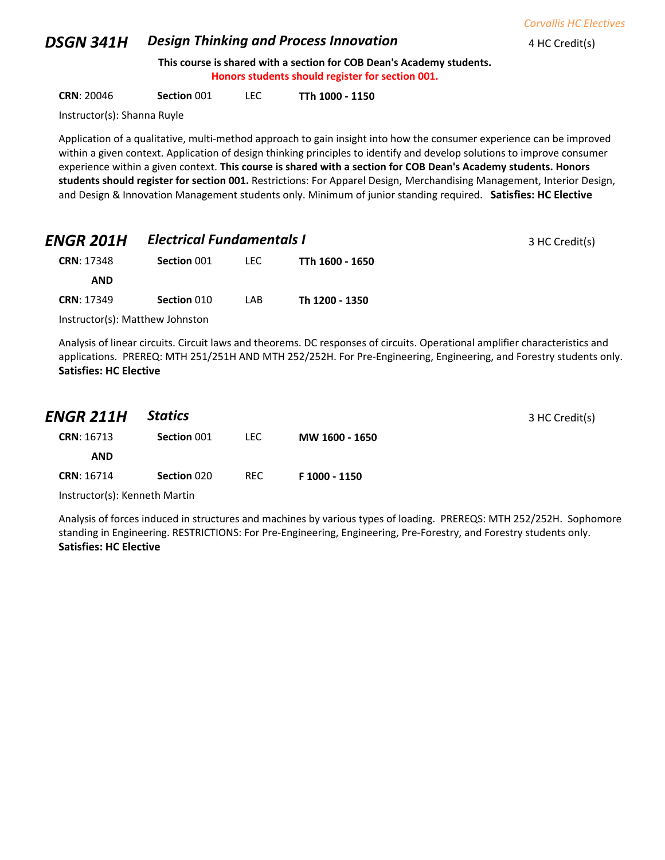#### **DSGN 341H Design Thinking and Process Innovation** 4 HC Credit(s)

**This course is shared with a section for COB Dean's Academy students. Honors students should register for section 001.**

**CRN**: 20046 **Section** 001 LEC **TTh 1000 - 1150**

Instructor(s): Shanna Ruyle

Application of a qualitative, multi-method approach to gain insight into how the consumer experience can be improved within a given context. Application of design thinking principles to identify and develop solutions to improve consumer experience within a given context. **This course is shared with a section for COB Dean's Academy students. Honors students should register for section 001.** Restrictions: For Apparel Design, Merchandising Management, Interior Design, and Design & Innovation Management students only. Minimum of junior standing required. **Satisfies: HC Elective**

| <b>ENGR 201H</b>  |             | <b>Electrical Fundamentals I</b> |                 | 3 HC Credit(s) |
|-------------------|-------------|----------------------------------|-----------------|----------------|
| <b>CRN: 17348</b> | Section 001 | LEC .                            | TTh 1600 - 1650 |                |
| <b>AND</b>        |             |                                  |                 |                |
| <b>CRN: 17349</b> | Section 010 | LAB                              | Th 1200 - 1350  |                |
|                   |             |                                  |                 |                |

Instructor(s): Matthew Johnston

Analysis of linear circuits. Circuit laws and theorems. DC responses of circuits. Operational amplifier characteristics and applications. PREREQ: MTH 251/251H AND MTH 252/252H. For Pre-Engineering, Engineering, and Forestry students only. **Satisfies: HC Elective**

| ENGR 211H         | <b>Statics</b> |      |                | 3 HC Credit(s) |
|-------------------|----------------|------|----------------|----------------|
| <b>CRN: 16713</b> | Section 001    | LEC. | MW 1600 - 1650 |                |
| <b>AND</b>        |                |      |                |                |
| <b>CRN: 16714</b> | Section 020    | REC  | F 1000 - 1150  |                |

Instructor(s): Kenneth Martin

Analysis of forces induced in structures and machines by various types of loading. PREREQS: MTH 252/252H. Sophomore standing in Engineering. RESTRICTIONS: For Pre-Engineering, Engineering, Pre-Forestry, and Forestry students only. **Satisfies: HC Elective**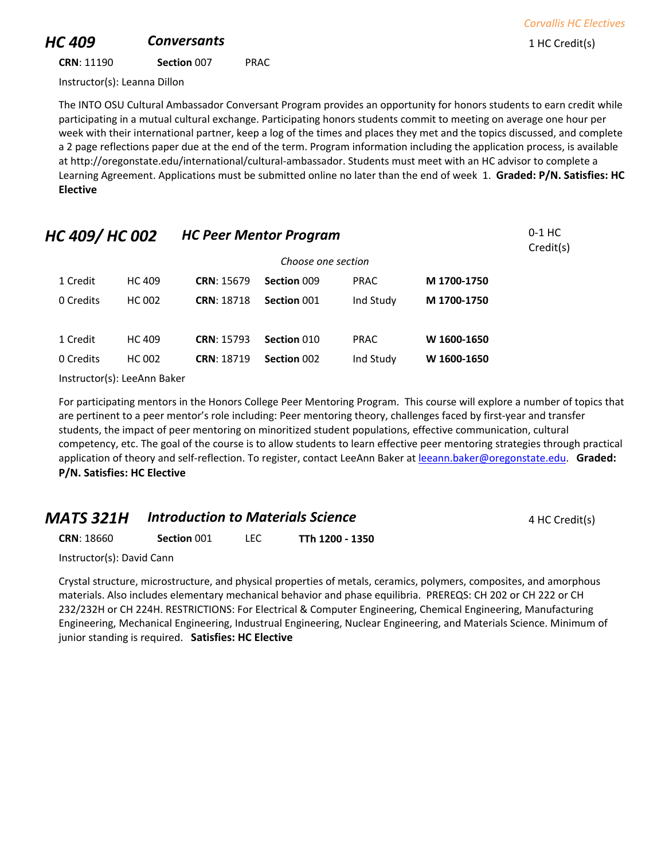# **HC 409 Conversants Conversants 1** HC Credit(s)

**CRN**: 11190 **Section** 007 PRAC

Instructor(s): Leanna Dillon

The INTO OSU Cultural Ambassador Conversant Program provides an opportunity for honors students to earn credit while participating in a mutual cultural exchange. Participating honors students commit to meeting on average one hour per week with their international partner, keep a log of the times and places they met and the topics discussed, and complete a 2 page reflections paper due at the end of the term. Program information including the application process, is available at http://oregonstate.edu/international/cultural-ambassador. Students must meet with an HC advisor to complete a Learning Agreement. Applications must be submitted online no later than the end of week 1. **Graded: P/N. Satisfies: HC Elective**

| HC 409/HC 002 |               | <b>HC Peer Mentor Program</b> |                    |             |             |  |  |
|---------------|---------------|-------------------------------|--------------------|-------------|-------------|--|--|
|               |               |                               | Choose one section |             |             |  |  |
| 1 Credit      | HC 409        | <b>CRN: 15679</b>             | Section 009        | <b>PRAC</b> | M 1700-1750 |  |  |
| 0 Credits     | <b>HC 002</b> | <b>CRN: 18718</b>             | Section 001        | Ind Study   | M 1700-1750 |  |  |
|               |               |                               |                    |             |             |  |  |
| 1 Credit      | HC 409        | <b>CRN: 15793</b>             | Section 010        | <b>PRAC</b> | W 1600-1650 |  |  |
| 0 Credits     | HC 002        | <b>CRN: 18719</b>             | Section 002        | Ind Study   | W 1600-1650 |  |  |
|               |               |                               |                    |             |             |  |  |

Instructor(s): LeeAnn Baker

For participating mentors in the Honors College Peer Mentoring Program. This course will explore a number of topics that are pertinent to a peer mentor's role including: Peer mentoring theory, challenges faced by first-year and transfer students, the impact of peer mentoring on minoritized student populations, effective communication, cultural competency, etc. The goal of the course is to allow students to learn effective peer mentoring strategies through practical application of theory and self-reflection. To register, contact LeeAnn Baker a[t leeann.baker@oregonstate.edu.](mailto:leeann.baker@oregonstate.edu) **Graded: P/N. Satisfies: HC Elective**

#### **MATS 321H Introduction to Materials Science** 4 HC Credit(s)

**CRN**: 18660 **Section** 001 LEC **TTh 1200 - 1350**

Instructor(s): David Cann

Crystal structure, microstructure, and physical properties of metals, ceramics, polymers, composites, and amorphous materials. Also includes elementary mechanical behavior and phase equilibria. PREREQS: CH 202 or CH 222 or CH 232/232H or CH 224H. RESTRICTIONS: For Electrical & Computer Engineering, Chemical Engineering, Manufacturing Engineering, Mechanical Engineering, Industrual Engineering, Nuclear Engineering, and Materials Science. Minimum of junior standing is required. **Satisfies: HC Elective**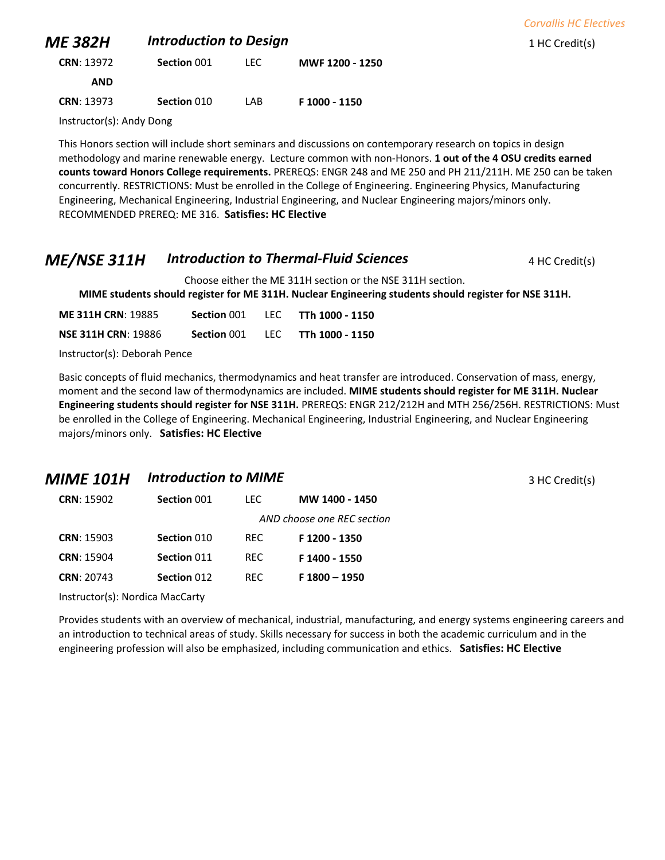|                          |                               |      |                 | <b>Corvallis HC Electives</b> |
|--------------------------|-------------------------------|------|-----------------|-------------------------------|
| <b>ME 382H</b>           | <b>Introduction to Design</b> |      |                 | 1 HC Credit(s)                |
| <b>CRN: 13972</b>        | Section 001                   | LEC. | MWF 1200 - 1250 |                               |
| <b>AND</b>               |                               |      |                 |                               |
| <b>CRN: 13973</b>        | Section 010                   | LAB  | F 1000 - 1150   |                               |
| Instructor(s): Andy Dong |                               |      |                 |                               |

Instructor(s): Andy Dong

This Honors section will include short seminars and discussions on contemporary research on topics in design methodology and marine renewable energy. Lecture common with non-Honors. **1 out of the 4 OSU credits earned counts toward Honors College requirements.** PREREQS: ENGR 248 and ME 250 and PH 211/211H. ME 250 can be taken concurrently. RESTRICTIONS: Must be enrolled in the College of Engineering. Engineering Physics, Manufacturing Engineering, Mechanical Engineering, Industrial Engineering, and Nuclear Engineering majors/minors only. RECOMMENDED PREREQ: ME 316. **Satisfies: HC Elective**

### *ME/NSE 311H Introduction to Thermal-Fluid Sciences* 4 HC Credit(s)

Choose either the ME 311H section or the NSE 311H section.

**MIME students should register for ME 311H. Nuclear Engineering students should register for NSE 311H.**

| <b>ME 311H CRN: 19885</b>  | Section 001 | TEC. | TTh 1000 - 1150 |
|----------------------------|-------------|------|-----------------|
| <b>NSE 311H CRN: 19886</b> | Section 001 | TEC. | TTh 1000 - 1150 |

Instructor(s): Deborah Pence

Basic concepts of fluid mechanics, thermodynamics and heat transfer are introduced. Conservation of mass, energy, moment and the second law of thermodynamics are included. **MIME students should register for ME 311H. Nuclear Engineering students should register for NSE 311H.** PREREQS: ENGR 212/212H and MTH 256/256H. RESTRICTIONS: Must be enrolled in the College of Engineering. Mechanical Engineering, Industrial Engineering, and Nuclear Engineering majors/minors only. **Satisfies: HC Elective**

#### *MIME 101H Introduction to MIME* **101 101 3** HC Credit(s)

| <b>CRN: 15902</b> | Section 001 | TEC.       | MW 1400 - 1450             |
|-------------------|-------------|------------|----------------------------|
|                   |             |            | AND choose one REC section |
| <b>CRN: 15903</b> | Section 010 | <b>REC</b> | F1200 - 1350               |
| <b>CRN: 15904</b> | Section 011 | RFC.       | F 1400 - 1550              |
| <b>CRN: 20743</b> | Section 012 | RFC.       | $F 1800 - 1950$            |

Instructor(s): Nordica MacCarty

Provides students with an overview of mechanical, industrial, manufacturing, and energy systems engineering careers and an introduction to technical areas of study. Skills necessary for success in both the academic curriculum and in the engineering profession will also be emphasized, including communication and ethics. **Satisfies: HC Elective**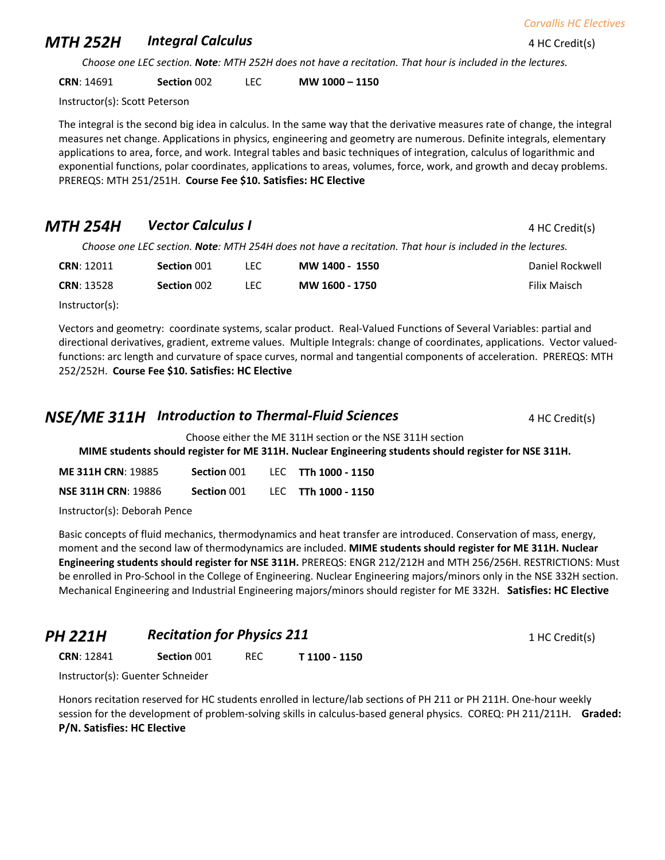## **MTH 252H Integral Calculus 1988 120 AMTH 252H Integral Calculus** 4 HC Credit(s)

*Choose one LEC section. Note: MTH 252H does not have a recitation. That hour is included in the lectures.*

**CRN**: 14691 **Section** 002 LEC **MW 1000 – 1150**

Instructor(s): Scott Peterson

The integral is the second big idea in calculus. In the same way that the derivative measures rate of change, the integral measures net change. Applications in physics, engineering and geometry are numerous. Definite integrals, elementary applications to area, force, and work. Integral tables and basic techniques of integration, calculus of logarithmic and exponential functions, polar coordinates, applications to areas, volumes, force, work, and growth and decay problems. PREREQS: MTH 251/251H. **Course Fee \$10. Satisfies: HC Elective**

# **MTH 254H** *Vector Calculus I* **4 HC Credit(s)** 4 HC Credit(s)

*Choose one LEC section. Note: MTH 254H does not have a recitation. That hour is included in the lectures.*

| <b>CRN: 12011</b> | Section 001 | LEC.  | MW 1400 - 1550 | Daniel Rockwell |
|-------------------|-------------|-------|----------------|-----------------|
| <b>CRN: 13528</b> | Section 002 | LEC . | MW 1600 - 1750 | Filix Maisch    |
| $\cdots$ $\cdots$ |             |       |                |                 |

Instructor(s):

Vectors and geometry: coordinate systems, scalar product. Real-Valued Functions of Several Variables: partial and directional derivatives, gradient, extreme values. Multiple Integrals: change of coordinates, applications. Vector valuedfunctions: arc length and curvature of space curves, normal and tangential components of acceleration. PREREQS: MTH 252/252H. **Course Fee \$10. Satisfies: HC Elective**

## **NSE/ME 311H Introduction to Thermal-Fluid Sciences** 4 HC Credit(s)

Choose either the ME 311H section or the NSE 311H section

**MIME students should register for ME 311H. Nuclear Engineering students should register for NSE 311H.**

| <b>ME 311H CRN: 19885</b>  | Section 001 | LEC TTh 1000 - 1150 |
|----------------------------|-------------|---------------------|
| <b>NSE 311H CRN: 19886</b> | Section 001 | LEC TTh 1000 - 1150 |

Instructor(s): Deborah Pence

Basic concepts of fluid mechanics, thermodynamics and heat transfer are introduced. Conservation of mass, energy, moment and the second law of thermodynamics are included. **MIME students should register for ME 311H. Nuclear Engineering students should register for NSE 311H.** PREREQS: ENGR 212/212H and MTH 256/256H. RESTRICTIONS: Must be enrolled in Pro-School in the College of Engineering. Nuclear Engineering majors/minors only in the NSE 332H section. Mechanical Engineering and Industrial Engineering majors/minors should register for ME 332H. **Satisfies: HC Elective**

*PH 221H Recitation for Physics 211* <sup>1</sup> HC Credit(s)

**CRN**: 12841 **Section** 001 REC **T 1100 - 1150**

Instructor(s): Guenter Schneider

Honors recitation reserved for HC students enrolled in lecture/lab sections of PH 211 or PH 211H. One-hour weekly session for the development of problem-solving skills in calculus-based general physics. COREQ: PH 211/211H. **Graded: P/N. Satisfies: HC Elective**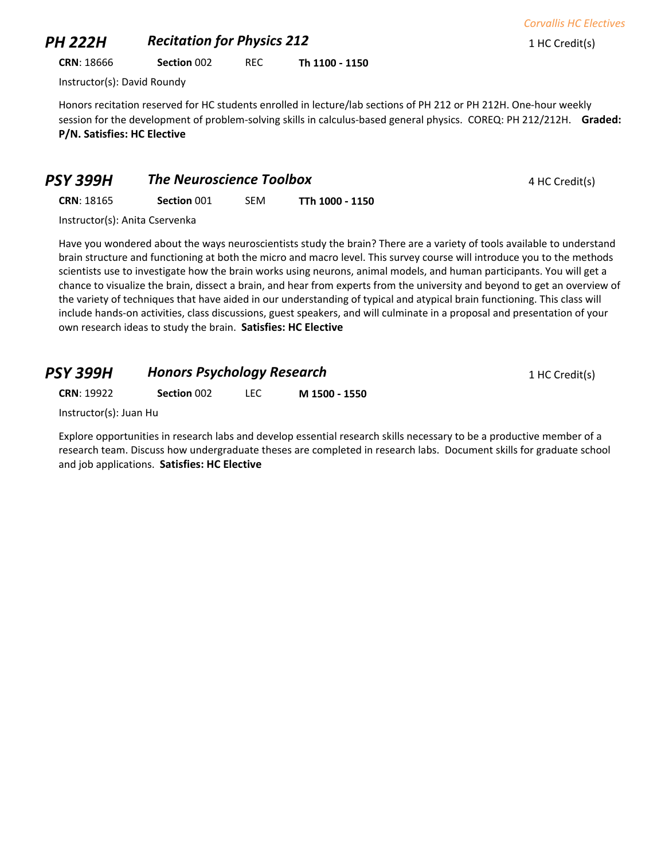## **PH 222H Recitation for Physics 212** 1 HC Credit(s)

**CRN**: 18666 **Section** 002 REC **Th 1100 - 1150**

Instructor(s): David Roundy

Honors recitation reserved for HC students enrolled in lecture/lab sections of PH 212 or PH 212H. One-hour weekly session for the development of problem-solving skills in calculus-based general physics. COREQ: PH 212/212H. **Graded: P/N. Satisfies: HC Elective**

| PSY 399H          | <b>The Neuroscience Toolbox</b> |            |                 | 4 HC Credit(s) |
|-------------------|---------------------------------|------------|-----------------|----------------|
| <b>CRN: 18165</b> | Section 001                     | <b>SEM</b> | TTh 1000 - 1150 |                |

Instructor(s): Anita Cservenka

Have you wondered about the ways neuroscientists study the brain? There are a variety of tools available to understand brain structure and functioning at both the micro and macro level. This survey course will introduce you to the methods scientists use to investigate how the brain works using neurons, animal models, and human participants. You will get a chance to visualize the brain, dissect a brain, and hear from experts from the university and beyond to get an overview of the variety of techniques that have aided in our understanding of typical and atypical brain functioning. This class will include hands-on activities, class discussions, guest speakers, and will culminate in a proposal and presentation of your own research ideas to study the brain. **Satisfies: HC Elective**

| <b>PSY 399H</b><br><b>CRN: 19922</b> | <b>Honors Psychology Research</b> |            |               | 1 HC Credit(s) |
|--------------------------------------|-----------------------------------|------------|---------------|----------------|
|                                      | Section 002                       | <b>LEC</b> | M 1500 - 1550 |                |
| $Instructor(c)$ $t$ $t$              |                                   |            |               |                |

Instructor(s): Juan Hu

Explore opportunities in research labs and develop essential research skills necessary to be a productive member of a research team. Discuss how undergraduate theses are completed in research labs. Document skills for graduate school and job applications. **Satisfies: HC Elective**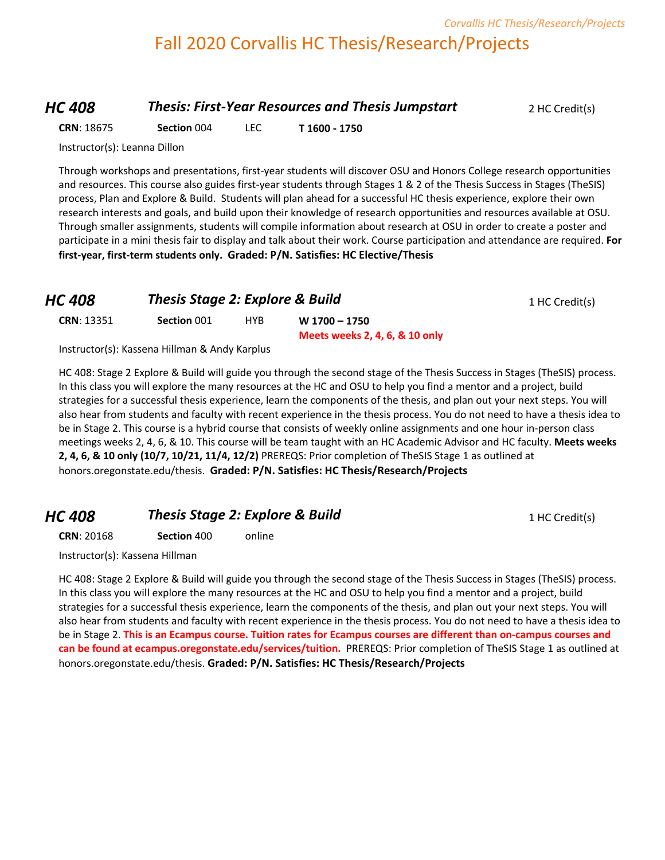# Fall 2020 Corvallis HC Thesis/Research/Projects

#### *HC 408* **Thesis: First-Year Resources and Thesis Jumpstart** 2 HC Credit(s)

**CRN**: 18675 **Section** 004 LEC **T 1600 - 1750**

Instructor(s): Leanna Dillon

Through workshops and presentations, first-year students will discover OSU and Honors College research opportunities and resources. This course also guides first-year students through Stages 1 & 2 of the Thesis Success in Stages (TheSIS) process, Plan and Explore & Build. Students will plan ahead for a successful HC thesis experience, explore their own research interests and goals, and build upon their knowledge of research opportunities and resources available at OSU. Through smaller assignments, students will compile information about research at OSU in order to create a poster and participate in a mini thesis fair to display and talk about their work. Course participation and attendance are required. **For first-year, first-term students only. Graded: P/N. Satisfies: HC Elective/Thesis**

| <b>HC 408</b><br><b>CRN: 13351</b> | <b>Thesis Stage 2: Explore &amp; Build</b> |     | 1 HC Credit(s)                 |  |
|------------------------------------|--------------------------------------------|-----|--------------------------------|--|
|                                    | Section 001                                | HYB | W 1700 - 1750                  |  |
|                                    |                                            |     | Meets weeks 2, 4, 6, & 10 only |  |

Instructor(s): Kassena Hillman & Andy Karplus

HC 408: Stage 2 Explore & Build will guide you through the second stage of the Thesis Success in Stages (TheSIS) process. In this class you will explore the many resources at the HC and OSU to help you find a mentor and a project, build strategies for a successful thesis experience, learn the components of the thesis, and plan out your next steps. You will also hear from students and faculty with recent experience in the thesis process. You do not need to have a thesis idea to be in Stage 2. This course is a hybrid course that consists of weekly online assignments and one hour in-person class meetings weeks 2, 4, 6, & 10. This course will be team taught with an HC Academic Advisor and HC faculty. **Meets weeks 2, 4, 6, & 10 only (10/7, 10/21, 11/4, 12/2)** PREREQS: Prior completion of TheSIS Stage 1 as outlined at honors.oregonstate.edu/thesis. **Graded: P/N. Satisfies: HC Thesis/Research/Projects**

## **HC 408 Thesis Stage 2: Explore & Build** 1 HC Credit(s)

**CRN**: 20168 **Section** 400 online

Instructor(s): Kassena Hillman

HC 408: Stage 2 Explore & Build will guide you through the second stage of the Thesis Success in Stages (TheSIS) process. In this class you will explore the many resources at the HC and OSU to help you find a mentor and a project, build strategies for a successful thesis experience, learn the components of the thesis, and plan out your next steps. You will also hear from students and faculty with recent experience in the thesis process. You do not need to have a thesis idea to be in Stage 2. **This is an Ecampus course. Tuition rates for Ecampus courses are different than on-campus courses and can be found at ecampus.oregonstate.edu/services/tuition.** PREREQS: Prior completion of TheSIS Stage 1 as outlined at honors.oregonstate.edu/thesis. **Graded: P/N. Satisfies: HC Thesis/Research/Projects**